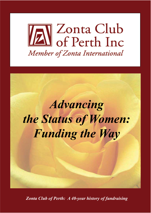



*Zonta Club of Perth: A 40-year history of fundraising*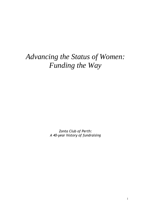# *Advancing the Status of Women: Funding the Way*

Zonta Club of Perth: A 40-year history of fundraising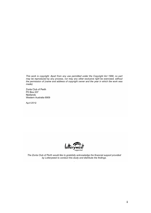This work is copyright. Apart from any use permitted under the Copyright Act 1968, no part may be reproduced by any process, nor may any other exclusive right be exercised, without the permission of (name and address of copyright owner and the year in which the work was made).

Zonta Club of Perth **PO Box 237** Nedlands Western Australia 6909

April 2012



The Zonta Club of Perth would like to gratefully acknowledge the financial support provided by Lotterywest to conduct this study and distribute the findings.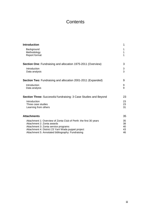## **Contents**

| <b>Introduction</b>                                                     | 1  |
|-------------------------------------------------------------------------|----|
| Background                                                              | 1  |
| Methodology                                                             | 1  |
| Report format                                                           | 1  |
| <b>Section One: Fundraising and allocation 1975-2011 (Overview)</b>     | 3  |
| Introduction                                                            | 3  |
| Data analysis                                                           | 3  |
| <b>Section Two:</b> Fundraising and allocation 2001-2011 (Expanded)     | 9  |
| Introduction                                                            | 9  |
| Data analysis                                                           | 9  |
| <b>Section Three:</b> Successful fundraising: 3 Case Studies and Beyond | 23 |
| Introduction                                                            | 23 |
| Three case studies                                                      | 23 |
| Learning from others                                                    | 31 |
| <b>Attachments</b>                                                      | 35 |
| Attachment 1: Overview of Zonta Club of Perth: the first 30 years       | 35 |
| Attachment 2: Zonta awards                                              | 38 |
| Attachment 3: Zonta service programs                                    | 40 |
| Attachment 4: District 23 Yarri Wada puppet project                     | 43 |
| Attachment 5: Annotated bibliography: Fundraising                       | 46 |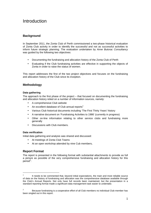## Introduction

## **Background**

In September 2011, the Zonta Club of Perth commissioned a two-phase historical evaluation of Zonta Club activity in order to identify the successful and not as successful activities to inform future strategic planning. The evaluation undertaken by Anne Butorac Consultancy was guided by the following two objectives:

- Documenting the fundraising and allocation history of the Zonta Club of Perth
- Evaluating if the Club fundraising activities are effective in supporting the objects of Zonta in order to raise the status of women.

This report addresses the first of the two project objectives and focuses on the fundraising and allocation history of the Club since its inception.

## **Methodology**

## **Data gathering**

The approach to the first phase of the project – that focused on documenting the fundraising and allocation history relied on a number of information sources, namely:

- A comprehensive Club website
- An excellent database of Club annual reports<sup>1</sup>
- Various Club historical documents including 'The First Thirty Years' history
- A narrative document on 'Fundraising Activities to 1986' (currently in progress)
- Other on-line information relating to other service clubs and fundraising more generally
- Discussions with Club members.

## **Data verification**

Initial data gathering and analysis was shared and discussed:

- At meetings of Zonta Club Teams
- At an open workshop attended by nine Cub members**.**

## **Report Format**

 $\overline{a}$ 

The report is presented in the following format with substantial attachments to provide as full a picture as possible of the very comprehensive fundraising and allocation history for this period<sup>2</sup>:

<sup>1</sup> It needs to be commented that, beyond initial expectations, the main and most reliable source of data on the history of fundraising and allocation was the comprehensive database available through the Club's Annual Reports. Not only have full records been maintained, but the presentation in a standard reporting format made a significant data management task easier to undertake.

<sup>2</sup> Because fundraising is a cooperative effort of all Club members no individual Club member has been singled out in this report.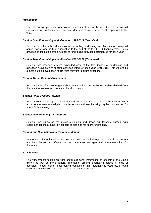#### **Introduction**

The Introduction presents some overview comments about the objectives of the overall evaluation and contextualises this report (the first of two), as well as the approach to the task.

#### **Section One: Fundraising and allocation 1975-2011 (Overview)**

Section One offers a broad-scale overview, tabling fundraising and allocation on an overall annual basis from the Club's inception to the end of the 2010/2011 financial year. It also provides an indication of the number of fundraising activities documented for each year.

#### **Section Two: Fundraising and allocation 2001-2011 (Expanded)**

Section Two provides a more expanded view of the last decade of fundraising and allocation activities with specific activities listed for each year 2001-2011. This will enable a more detailed evaluation of activities relevant to future directions.

#### **Section Three: General Observations**

Section Three offers some generalised observations on the historical data derived from the data themselves and from member discussions.

#### **Section Four: Lessons learned**

Section Four of this report specifically addresses, for internal Zonta Club of Perth use, a more comprehensive analysis of the historical database, focusing key lessons learned for future Club planning.

#### **Section Five: Planning for the future**

Section Five builds on the previous Section and draws out lessons learned, with recommendations around key aspects of planning for future fundraising.

#### **Section Six: Summation and Recommendations**

At the end of the historical journey and with the critical eye cast over it by current members, Section Six offers some key summative messages and recommendations for the future.

#### **Attachments**

The Attachments section provides useful additional information on aspects of the Club's history as well as more general information around fundraising across a range of agencies. Though some minor editing/reduction of this material has occurred, in each case little modification has been made to the original source.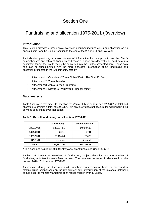## Section One

## Fundraising and allocation 1975-2011 (Overview)

## **Introduction**

This Section provides a broad-scale overview, documenting fundraising and allocation on an annual basis from the Club's inception to the end of the 2010/2011 financial year.

As indicated previously a major source of information for this project was the Club's comprehensive and efficient Annual Report records. These provided valuable hard data in a consistent format that could readily be converted into the Tables presented here. These data can also be supplemented with the more anecdotal information about fundraising and allocation presented in the Attachments, notably:

- Attachment 1 (Overview of Zonta Club of Perth: The First 30 Years)
- Attachment 2 (Zonta Awards)
- Attachment 3 (Zonta Service Programs)
- Attachment 4 (District 23 Yarri Wada Puppet Project)

## **Data analysis**

Table 1 indicates that since its inception the Zonta Club of Perth raised \$285,891 in total and allocated to projects a total of \$298,757. This obviously does not account for additional in-kind services contributed over that period.

|           | <b>Fundraising</b> | <b>Fund allocation</b> |
|-----------|--------------------|------------------------|
| 2001/2011 | 138,887.01         | 140,087.88             |
| 1991/2001 | 69311              | 82741                  |
| 1981/1991 | 63,134.34          | 63679                  |
| 1975/1981 | 14,559.44          | 12249.43               |
| Total     | 285,891.79*        | 298,757.31             |

#### **Table 1: Overall fundraising and allocation 1975-2011**

\* This does not include \$230,000 Lotterywest grant funds (see Case Study 3)

Tables 2-5 present an overview of fundraising, project allocation and the number of fundraising activities for each financial year. The data are presented in decades from the present 2010/2011 back to 1975/1976.

As indicated during the discussions with members, some caution should be exercised in making crude comparisons on the raw figures; any interpretation of the historical database should bear the monetary amounts don't reflect inflation over 40 years.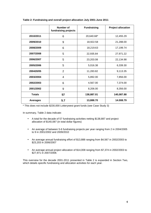|                 | Number of<br>fundraising projects | <b>Fundraising</b> | <b>Project allocation</b> |
|-----------------|-----------------------------------|--------------------|---------------------------|
| 2010/2011       | 6                                 | 20,640.68*         | 12,455.29                 |
| 2009/2010       | 9                                 | 18,922.58          | 21,288.00                 |
| 2008/2009       | 6                                 | 18,219.63          | 17,199.74                 |
| 2007/2008       | 5                                 | 22,935.84          | 27,971.22                 |
| 2006/2007       | 5                                 | 23,203.08          | 22,134.98                 |
| 2005/2006       | 5                                 | 5,016.38           | 6,339.30                  |
| 200420/05       | 2                                 | 11,283.82          | 9,113.35                  |
| 2003/2004       | $\overline{4}$                    | 5,892.00           | 7,856.00                  |
| 2002/2003       | 6                                 | 4,567.00           | 7,374.00                  |
| 2001/2002       | 9                                 | 8,206.00           | 8,356.00                  |
| <b>Totals</b>   | 57                                | 138,887.01         | 140,087.88                |
| <b>Averages</b> | 5.7                               | 13,888.70          | 14.008.79                 |

## **Table 2: Fundraising and overall project allocation July 2001-June 2011**

\* This does not include \$230,000 Lotterywest grant funds (see Case Study 3)

In summary, Table 2 data indicate:

- A total for the decade of 57 fundraising activities netting \$138,887 and project allocation of \$140,087 (in total dollar figures)
- An average of between 5-6 fundraising projects per year ranging from 2 in 2004/2005 to 9 in 2001/2002 and 2009/2010
- An average annual fundraising effort of \$13,888 ranging from \$4,567 in 2002/2003 to \$23,203 in 2006/2007
- An average annual project allocation of \$14,008 ranging from \$7,374 in 2002/2003 to \$27,971 in 2007/2008.

This overview for the decade 2001-2011 presented in Table 2 is expanded in Section Two, which details specific fundraising and allocation activities for each year.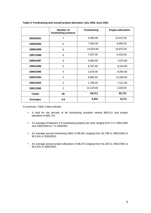|                 | Number of<br>fundraising projects | <b>Fundraising</b> | <b>Project allocation</b> |
|-----------------|-----------------------------------|--------------------|---------------------------|
| 2000/2001       | $\overline{7}$                    | 9,482.00           | 12,441.00                 |
| 1999/2000       | 5                                 | 7.004.00           | 6,990.00                  |
| 1998/1999       | 6                                 | 13,919.00          | 10,975.00                 |
| 1997/1998       | 6                                 | 7,637.00           | 6,434.00                  |
| 1996/1997       | 4                                 | 2,590.00           | 7,670.00                  |
| 1995/1996       | 6                                 | 8,797.00           | 9,243.00                  |
| 1994/1995       | 4                                 | 1,978.00           | 9,093.00                  |
| 1993/1994       | 4                                 | 8,985.00           | 11,056.00                 |
| 1992/1993       | $\overline{2}$                    | 1,798.00           | 7,511.00                  |
| 1991/1992       | $\overline{2}$                    | 14,125.00          | 1,328.00                  |
| <b>Totals</b>   | 46                                | 69,311             | 82,741                    |
| <b>Averages</b> | 4.6                               | 6,931              | 8,274                     |

## **Table 3: Fundraising and overall project allocation July 1991-June 2001**

In summary, Table 3 data indicate:

- A total for the decade of 46 fundraising activities netting \$69,311 and project allocation of \$82,741
- An average of between 4-5 fundraising projects per year ranging from 2 in 1991/1992 and 1992/1993 to 7 in 200/2001
- An average annual fundraising effort of \$6,931 ranging from \$1,798 in 1992/1993 to \$12,441 in 2000/2001
- An average annual project allocation of \$8,274 ranging from \$1,328 in 1991/1992 to \$12,441 in 2000/2001.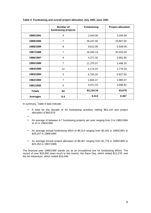|                 | <b>Number of</b><br>fundraising projects | <b>Fundraising</b> | <b>Project allocation</b> |
|-----------------|------------------------------------------|--------------------|---------------------------|
| 1990/1991       | 4                                        | 2,543.00           | 3,294.00                  |
| 1989/1990       | $\overline{7}$                           | 29,247.00          | 10,807.00                 |
| 1988/1989       | 8                                        | 8,612.00           | 5,538.00                  |
| 1987/1988       | $\overline{7}$                           | 16,493.14          | 20,352.00                 |
| 1986/1987       | 4                                        | 4,271.32           | 5,891.96                  |
| 1985/1986       | $\overline{7}$                           | 11,375.07          | 3,498.33                  |
| 1984/1985       | 12                                       | 4,174.23           | 1,779.33                  |
| 1983/1984       | 3                                        | 6,750.20           | 5,837.93                  |
| 1982/1983       | $\overline{7}$                           | 2,844.37           | 2,984.07                  |
| 1981/1982       | 5                                        | 6,071.01           | 3,696.82                  |
| <b>Totals</b>   | 64                                       | 63,134.34          | 63,679                    |
| <b>Averages</b> | 6.4                                      | 6,313              | 6,367                     |

## **Table 4: Fundraising and overall project allocation July 1981-June 1991**

In summary, Table 4 data indicate:

- A total for the decade of 64 fundraising activities netting \$63,134 and project allocation of \$63,679
- •
- An average of between 6-7 fundraising projects per year ranging from 3 in 1983/1984 to 12 in 1984/1985
- An average annual fundraising effort of \$6,313 ranging from \$2,543 in 1990/1991 to \$29,247 in 1989/1990
- An average annual project allocation of \$6,367 ranging from \$1,779 in 1985/1985 to \$20,352 in 1987/1988.

The financial year 1989/1990 stands out as an exceptional one for fundraising efforts. The record of over \$29,000 owes much to two events: the Race Day, which netted \$11,278; and the Art Adventure, which netted \$16,046.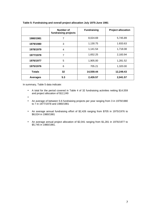|                 | Number of<br>fundraising projects | <b>Fundraising</b> | <b>Project allocation</b> |
|-----------------|-----------------------------------|--------------------|---------------------------|
| 1980/1981       | 7                                 | 8,024.69           | 5,745.89                  |
| 1979/1980       | 3                                 | 1,130.75           | 1.833.63                  |
| 1978/1979       | 4                                 | 1,141.54           | 1,718.08                  |
| 1977/1978       | $\overline{7}$                    | 1,652.25           | 2,183.94                  |
| 1976/1977       | 5                                 | 1,905.00           | 1,281.52                  |
| 1975/1976       | 6                                 | 705.21             | 1,320.00                  |
| <b>Totals</b>   | 32                                | 14,559.44          | 12,249.43                 |
| <b>Averages</b> | 5.3                               | 2,426.57           | 2,041.57                  |

## **Table 5: Fundraising and overall project allocation July 1975-June 1981**

In summary, Table 5 data indicate:

- A total for the period covered in Table 4 of 32 fundraising activities netting \$14,559 and project allocation of \$12,249
- •
- An average of between 5-6 fundraising projects per year ranging from 3 in 1979/1980 to 7 in 1977/1978 and 1980/1981
- An average annual fundraising effort of \$2,426 ranging from \$705 in 1975/1976 to \$8,024 in 1980/1981
- An average annual project allocation of \$2,041 ranging from \$1,281 in 1976/1977 to \$5,745 in 1980/1981.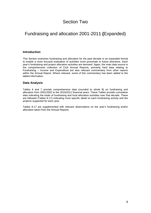## Section Two

## Fundraising and allocation 2001-2011 **(**Expanded)

## **Introduction**

This Section examines fundraising and allocation for the past decade in an expanded format to enable a more focused evaluation of activities more proximate to future directions. Each year's fundraising and project allocation activities are itemised. Again, the main data source is the comprehensive collection of Club Annual Reports, primarily hard data relating to Fundraising – Income and Expenditure but also relevant commentary from other reports within the Annual Report. Where relevant, some of this commentary has been added to the tabled information.

## **Data Analysis**

Tables 6 and 7 provide comprehensive data (rounded to whole \$) on fundraising and allocation from 2001/2002 to the 2010/2011 financial years. These Tables provide cumulative data indicating the totals of fundraising and fund allocation activities over that decade. These are followed (Tables 8-17) indicating more specific detail on each fundraising activity and the projects supported for each year.

Tables 8-17 are supplemented with relevant observations on the year's fundraising and/or allocation taken from the Annual Reports.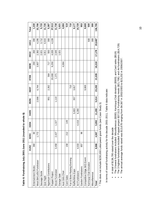|                            | 01/02 | უ<br>02/0 | 03/04          | 04/05  | 05/06 | 06/07  | 07/08  | 08/09  | 09/10  | 10/11   | Total   |
|----------------------------|-------|-----------|----------------|--------|-------|--------|--------|--------|--------|---------|---------|
| Entertainment Books        | 360   | 8         |                |        |       |        |        | 260    | 260    | 390     | 1,330   |
| Meal (Br/Lu/Di) Fundraiser |       | 1,772     |                |        | 2,596 | 6,744  |        | 3,907  | 2,392  | 4,295   | 21,706  |
| Sausage Sizzle             |       |           |                |        |       |        |        |        | 2,021  | 3,712   | 5,733   |
| Quiz Night                 |       |           |                |        |       |        |        |        | 4,811  | 6,915   | 11,726  |
| Ngarinyin Contributions    |       |           |                |        | 951   | 2,262  | 564    | 717    | 593    | 300     | 5,387   |
| <b>Puppet Project</b>      |       |           |                |        |       |        | 20,000 | 9,250  | 4,035  | 4,228   | 37,513  |
| Movie Fundraiser           | 3,458 | 2,427     | 1,327          |        | 1,110 |        | 1,371  |        | 2,045  |         | 11,738  |
| Garage Sale                |       |           |                |        |       |        |        |        | 1,021  |         | 1,021   |
| Aust Girls Choir           |       |           |                |        |       |        |        | 4,084  |        |         | 4,084   |
| Card Sales                 | 158   | 212       | $\frac{49}{5}$ |        |       |        |        |        |        |         | 519     |
| Fun & Bone Raising Evening |       |           |                |        |       | 710    |        |        |        |         | 710     |
| Raffle/Wine Expo           |       |           |                | 5,003  | 357   | 3,817  |        |        |        |         | 9,177   |
| Art Fundraisers            | 4,033 |           | 4,416          | 6,280  |       |        |        |        |        |         | 14,729  |
| Garden Fundraisers         | 857   | 96        |                |        |       |        |        |        |        |         | 953     |
| Competitive Edge IWD Event |       |           |                |        |       | 9,669  |        |        |        |         | 9,669   |
| Karrinyup Club Donation    |       |           |                |        |       |        |        |        |        | 500     | 500     |
| Miscellaneous              |       |           |                |        |       |        |        |        |        | 300     | 300     |
| Total                      | 8,866 | 4,567     | 5,892          | 11,283 | 5,014 | 23,202 | 21,935 | 18,218 | 17,178 | 20,640* | 136,795 |
|                            |       |           |                |        |       |        |        |        |        |         |         |

**Table 6: Fundraising July 2001-June 2011 (rounded to whole \$)**  Table 6: Fundraising July 2001-June 2011 (rounded to whole \$)

\* This does not include \$230,000 Lotterywest grant funds (see Case Study 3) \* This does not include \$230,000 Lotterywest grant funds (see Case Study 3) In terms of overall fundraising activity for the decade 2001-2011, Table 6 data indicate: In terms of overall fundraising activity for the decade 2001-2011, Table 6 data indicate:

- A total of \$136,795 raised over the decade • A total of \$136,795 raised over the decade  $\bullet$
- The 3 lowest fundraisers included: Miscellaneous (\$300); Karrinyup Club donation (\$500); and Card sales (\$519)
- The 3 lowest fundraisers included: Miscellaneous (\$300); Karrinyup Club donation (\$500); and Card sales (\$519)<br>The 3 highest fundraisers included: Puppet project \$37,513; Fundraising meals (\$21,706); and Art fundraisers (\$ • The 3 highest fundraisers included: Puppet project \$37,513; Fundraising meals (\$21,706); and Art fundraisers (\$14,729)
	- The annual average funds raised was \$13,678 ranging from \$4,567 in 2002/2003 to \$23,202 in 2006/2007.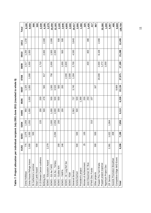|       | 01/02 | 02/03                   | 03/04 | 04/05 | 05/06 | 06/07  | 07/08  | 08/09  | 09/10  | 10/11  | Total   |
|-------|-------|-------------------------|-------|-------|-------|--------|--------|--------|--------|--------|---------|
| 775   |       | ,075                    | 1,056 | 950   |       | 1,325  |        | 1,517  | 1,250  | 1,232  | 9,180   |
| 1,000 |       | 000                     | 1,050 | 1,000 | 1,000 | 1,000  | 1,000  | 1,000  | 1,000  |        | 9,050   |
|       |       | 500                     |       |       |       |        |        |        |        |        | 500     |
| 500   |       |                         |       |       |       |        |        |        |        |        | 500     |
|       |       |                         | 220   | 200   | 200   |        |        | 1,710  |        |        | 2,330   |
|       |       |                         |       | 500   | 478   | 500    | 917    |        | 2,000  | 2,000  | 6,395   |
| 2,279 |       |                         |       |       |       |        |        |        |        |        | 2,279   |
|       |       |                         | 1,000 | 1,000 | 500   | 1,500  | 750    | 2,000  | 1,500  | 2,000  | 10,250  |
|       |       | .094<br>$\mathbf{\sim}$ | 2,056 | 2,000 | 500   | 3,533  |        |        | 2,000  |        | 12,183  |
| 200   |       |                         | 200   | 200   | 500   | 500    |        |        |        | 500    | 2,100   |
| 246   |       |                         |       | 200   |       | 200    |        | 1,000  | 500    | 500    | 2,646   |
|       |       |                         |       |       |       |        | 2,000  | 2,600  |        |        | 4,600   |
|       |       |                         |       |       |       |        | 2,000  |        |        |        | 2,000   |
|       |       |                         |       | 2,563 | 737   | 3,740  | 1,304  | 2,700  | 4,530  | 3,843  | 19,417  |
| 500   |       | 500                     |       | 500   | 500   |        |        |        |        |        | 2,000   |
|       |       |                         |       |       | 1,366 |        |        |        |        |        | 1,366   |
| 25    |       | 100                     |       |       | 200   |        |        |        |        |        | 325     |
|       |       |                         |       |       | 250   |        |        | 400    | 400    | 380    | 1,430   |
|       |       |                         | 310   |       | 107   |        |        |        |        |        | 417     |
| 300   |       | 500                     |       |       |       | 167    |        |        |        |        | 967     |
|       |       |                         |       |       |       |        | 20,000 | 2,000  | 8,108  | 2,000  |         |
|       |       |                         |       |       |       |        |        | 1,272  |        |        | 33,380  |
|       |       |                         |       |       |       |        |        | 1,000  |        |        | 1,000   |
| 2,381 |       | .022                    | 1,964 |       |       |        |        |        |        |        | 5,367   |
|       |       | 408                     |       |       |       |        |        |        |        |        | 408     |
|       |       |                         |       |       |       | 9,669  |        |        |        |        | 9,669   |
| 8,206 |       | 7,199                   | 7,856 | 9,113 | 6,338 | 22,134 | 27,971 | 17,199 | 21,288 | 12,455 | 139,759 |

| $\overline{a}$ |
|----------------|
|                |
|                |
|                |
|                |
| ;<br>;<br>I    |
|                |
|                |
|                |
|                |
|                |
|                |
|                |
|                |
|                |
|                |
|                |
|                |
|                |
|                |
|                |
|                |
|                |
|                |
|                |
|                |
|                |
|                |
| $\overline{a}$ |
|                |

 $\overline{11}$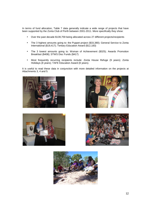In terms of fund allocation, Table 7 data generally indicate a wide range of projects that have been supported by the Zonta Club of Perth between 2001-2011. More specifically they show:

- Over the past decade \$139,759 being allocated across 27 different projects/recipients
- The 3 highest amounts going to: the Puppet project (\$33,380); General Service to Zonta International (\$19,417); Tertiary Education Award (\$12,183)
- The 3 lowest amounts going to: Woman of Achievement (\$325); Awards Promotion Breakfast (\$408); STWS Disc Funds (\$417)
- Most frequently recurring recipients include: Zonta House Refuge (9 years); Zonta Holidays (8 years); TAFE Education Award (8 years).

It is useful to read these data in conjunction with more detailed information on the projects at Attachments 3, 4 and 5.









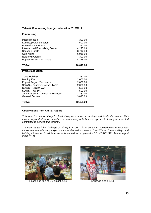#### **Table 8: Fundraising & project allocation 2010/2011**

| <b>Fundraising</b>                                                                                                                                                                                        |                                                                                        |
|-----------------------------------------------------------------------------------------------------------------------------------------------------------------------------------------------------------|----------------------------------------------------------------------------------------|
| Miscellaneous<br>Karrinyup Club donation<br><b>Entertainment Books</b><br><b>International Fundraising Dinner</b><br>Sausage Sizzle<br>Quiz Night<br><b>Ngarinyin Grants</b><br>Puppet Project Yarri Wada | 300.00<br>500.00<br>390.00<br>4,295.68<br>3,712.00<br>6,915.00<br>300.00<br>4,228.00   |
| <b>TOTAL</b>                                                                                                                                                                                              | 20,640.68                                                                              |
| <b>Project allocation</b>                                                                                                                                                                                 |                                                                                        |
| Zonta Holidays<br><b>Birthing Kits</b><br>Puppet Project Yarri Wada<br><b>SOWS - Education Award TAFE</b><br>SOWS - Guides WA<br>SOWS-YWIPA<br>Jane Klausman Women in Business<br><b>General Service</b>  | 1,232.00<br>2,000.00<br>2,000.00<br>2,000.00<br>500.00<br>500.00<br>380.00<br>3,843.29 |
| <b>TOTAL</b>                                                                                                                                                                                              | 12,455.29                                                                              |

#### **Observations from Annual Report**

This year the responsibility for fundraising was moved to a dispersed leadership model. This model engaged all club committees in fundraising activities as opposed to having a dedicated committee to perform this function.

The club set itself the challenge of raising \$14,000. This amount was required to cover expenses for service and advocacy projects such as the various awards, Yarri Wada, Zonta holidays and birthing kit events. In addition the club wanted to, in general - DO MORE! (39<sup>th</sup> Annual report 2010-2011)



Heads and tails at Quiz night 2010 Sausage sizzle 2011

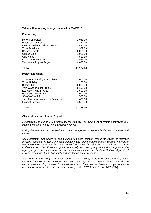#### **Table 9: Fundraising & project allocation 2009/2010**

| <b>Fundraising</b>                                                                                                                                                                                                                        |                                                                                                      |
|-------------------------------------------------------------------------------------------------------------------------------------------------------------------------------------------------------------------------------------------|------------------------------------------------------------------------------------------------------|
| Movie Fundraiser<br><b>Entertainment Books</b><br><b>International Fundraising Dinner</b><br>Zonta Breakfast<br>Sausage Sizzle<br>Garage Sale<br>Quiz Night<br>Ngarinyin Fundraising<br>Yarri Wada Puppet Project                         | 2,045.00<br>260.00<br>1,490.00<br>902.08<br>2,021.00<br>1,020.00<br>4,811.50<br>593.00<br>4,035.00   |
| <b>TOTAL</b>                                                                                                                                                                                                                              | 17,177.58                                                                                            |
| <b>Project allocation</b>                                                                                                                                                                                                                 |                                                                                                      |
| Zonta House Refuge Association<br>Zonta Holidays<br><b>Birthing Kits</b><br>Yarri Wada Puppet Project<br><b>Education Award TAFE</b><br><b>Education Award Univ</b><br>SOWS – YWIPA<br>Jane Klausman Women in Business<br>General Service | 1,000.00<br>1,250.00<br>2,000.00<br>8,108.00<br>1,500.00<br>2,000.00<br>500.00<br>400.00<br>4,530.00 |
| <b>TOTAL</b>                                                                                                                                                                                                                              | 21,288.00                                                                                            |

#### **Observations from Annual Report**

Fundraising was put as a top priority for the club this year with a list of events determined at a planning meeting and all teams asked to help out.

During the year the Club decided that Zonta Holidays should be self funded out of interest and capital.

Communication with Ngarinyin communities has been difficult without the liaison of [member named], (confined to Perth with health problems) and [member named] (now working and living in Halls Creek) who have provided the essential links for the club. The club has continued to provide clothes and our Club President, [member named] has been giving tremendous support to the Ngarinyin girls and boys who are undertaking courses at the Bindoon Catholic Agricultural College, by offering home hospitality and comfort on some weekends.

Sharing ideas and energy with other women's organisations, in order to access funding, was a key aim of the Zonta Club of Perth Lotterywest Workshop on  $7<sup>th</sup>$  November 2009. The workshop was an overwhelming success. It showed the extent of the need and desire of organisations to have the opportunities to meet and make strategic links. (38<sup>th</sup> Annual Report 2009-2010)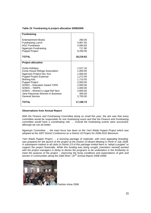| Table 10: Fundraising & project allocation 2008/2009 |  |  |
|------------------------------------------------------|--|--|
|                                                      |  |  |

| <b>Fundraising</b>                                                                                                                                                                                                                                                                                           |                                                                                                                                |
|--------------------------------------------------------------------------------------------------------------------------------------------------------------------------------------------------------------------------------------------------------------------------------------------------------------|--------------------------------------------------------------------------------------------------------------------------------|
| <b>Entertainment Books</b><br><b>Fundraising Lunch</b><br><b>AGC Fundraiser</b><br>Ngarinyin Fundraising<br><b>Puppet Project</b>                                                                                                                                                                            | 260.00<br>3,907.00<br>4,084.83<br>717.80<br>9.250.00                                                                           |
| <b>TOTAL</b>                                                                                                                                                                                                                                                                                                 | 18,219.63                                                                                                                      |
| <b>Project allocation</b>                                                                                                                                                                                                                                                                                    |                                                                                                                                |
| Zonta Holidays<br>Zonta House Refuge Association<br>Ngarinyin Project Dev Sco<br><b>Puppet Project Expense</b><br><b>Birthing Kits</b><br><b>Puppet Project</b><br><b>SOWS - Education Award TAFE</b><br>SOWS - YWIPA<br>SOWS - Women's Legal Ref Serv<br>Jane Klausman Women in Business<br>General Service | 1.517.10<br>1,000.00<br>1,000.00<br>1,272.09<br>1,710.55<br>2,000.00<br>2,000.00<br>1,000.00<br>2,600.00<br>400.00<br>2,700.00 |
| TOTAL                                                                                                                                                                                                                                                                                                        | 17,199.74                                                                                                                      |

With the Finance and Fundraising Committee being so small this year, the aim was that every committee would be responsible for one fundraising event and that the Finance and Fundraising committee would have a coordinating role. ... Overall the fundraising events were successful, although we can do better.

Ngarinyin Committee … the main focus has been on the Yarri Wada Puppet Project which was adopted at the 2007 District Conference as a District 23 Project for 2008-2010 Biennium.

Yarri Wada Puppet Project … a stunning package of materials, with most appealing branding, was prepared for the launch of the project at the District 23 Board Meeting in Perth in July 2008. A subsequent mailout to all clubs in District 23 of this package invited them to "adopt a puppet" or support the project financially. While this funding was being sought, [members named] worked with the project managers in derby to devise the programs to be undertaken in the Kimberley to meet the purpose of the project – improving the living conditions and expectations of girls and women in communities along the Gibb River. (37<sup>th</sup> Annual Report 2008-2009)



Fashion show 2008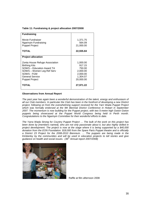#### **Table 11: Fundraising & project allocation 2007/2008**

| <b>Fundraising</b>             |           |
|--------------------------------|-----------|
| Movie Fundraiser               | 1,371.75  |
| Ngarinyin Fundraising          | 564.09    |
| <b>Puppet Project</b>          | 21,000.00 |
| <b>TOTAL</b>                   | 22,935.84 |
| <b>Project allocation</b>      |           |
| Zonta House Refuge Association | 1,000.00  |
| <b>Birthing Kits</b>           | 917.15    |
| SOWS - Education Award TA      | 750.00    |
| SOWS - Women Leg Ref Serv      | 2,000.00  |
| SOWS - FGM                     | 2,000.00  |
| <b>General Service</b>         | 1,304.07  |
| <b>Puppet Project</b>          | 20,000.00 |
| TOTAL                          | 27,971.22 |

#### **Observations from Annual Report**

The past year has again been a wonderful demonstration of the talent, energy and enthusiasm of all our Club members. In particular the Club has been in the forefront of developing a new District project, following on from the overwhelming support received for the Yarri Wada Puppet Project which was formally endorsed at the 9th Biennial District Conference in Hobart in September 2007. The momentum is now building for the Puppet project, with two 5-metre high Gwion Gwion puppets being showcased at the Puppet World Congress being held in Perth month. Congratulations to the Ngarinyin Committee for their wonderful efforts to date.

The Yarra Wada Strong for Country Puppet Project … The bulk of the work on this project has been done by [members named], who are not only passionate about it, but also highly skilled in project development. The project is now at the stage where it is being supported by a \$40,000 donation from the EON Foundation. \$18,000 from the Spare Parts Puppet theatre and is officially a District 23 Project for the 2008-2010 Biennium. … The puppets are being made in the Kimberley by the communities and will be used in education projects to tell stories and give guidance on health and social issues.  $(36<sup>th</sup>$  Annual report 2007/2008)



Raffle at film afternoon 2008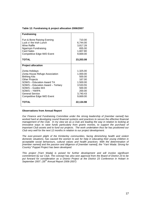| Table 12: Fundraising & project allocation 2006/2007 |  |  |
|------------------------------------------------------|--|--|
|                                                      |  |  |

| <b>Fundraising</b>                                                                                                                                                                                                                                              |                                                                                                              |
|-----------------------------------------------------------------------------------------------------------------------------------------------------------------------------------------------------------------------------------------------------------------|--------------------------------------------------------------------------------------------------------------|
| Fun & Bone Raising Evening<br>Luck o' the Irish Lunch<br>Wine Raffle<br>Ngarinyin Fundraising<br><b>Card Sales</b><br><b>Competitive Edge IWD Event</b>                                                                                                         | 710.00<br>6,744.00<br>3,817.28<br>655.00<br>1,607.80<br>9,669.00                                             |
| <b>TOTAL</b>                                                                                                                                                                                                                                                    | 23,203.08                                                                                                    |
| <b>Project allocation</b>                                                                                                                                                                                                                                       |                                                                                                              |
| Zonta Holidays<br>Zonta House Refuge Association<br><b>Birthing Kits</b><br><b>Other Projects</b><br>SOWS - Education Award TA<br>SOWS - Education Award - Tertiary<br>SOWS - Guides WA<br>SOWS – YWIPA<br><b>General Service</b><br>Competitive Edge IWD Event | 1.325.00<br>1.000.00<br>500.00<br>167.00<br>1.500.00<br>3.533.55<br>500.00<br>200.00<br>3,740.43<br>9,669.00 |
| <b>TOTAL</b>                                                                                                                                                                                                                                                    | 22,134.98                                                                                                    |

Our Finance and Fundraising Committee under the strong leadership of [member named] has worked hard at developing sound financial systems and practices to secure the effective financial management of the Club. In my view we as a Club are leading the way in relation to looking at innovative ways to raise funds particularly from grants monies, to support the purchase of important Club assets and to fund our projects. The work undertaken thus far has positioned our Club very well for the next 12 months in relation to our project development.

The ever-present plight of the Kimberley communities, facing diminishing health and violent domestic situations, has caused the women to ask for help in educating their young children in acceptable social behaviours, cultural values and health practices. With the determination of [member named] and the passion and diligence of [member named], the "Yarri Wada: Strong for Country" Puppet Project has been developed.

This project [Yarri Wada] is poised for further development and will involve significant commitment by our Club. The concept has also won approval from the Board of District 23 to be put forward for consideration as a District Project at the District 23 Conference in Hobart in September 2007.  $(35<sup>th</sup>$  Annual Report 2006-2007)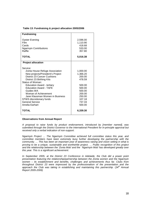| <b>Fundraising</b>                                                                                                                                                                                                                                                                                                                                                                   |                                                                                                                          |
|--------------------------------------------------------------------------------------------------------------------------------------------------------------------------------------------------------------------------------------------------------------------------------------------------------------------------------------------------------------------------------------|--------------------------------------------------------------------------------------------------------------------------|
| <b>Oyster Evening</b><br><b>Film</b><br>Cards<br><b>Ngarinyin Contributions</b><br>Raffle                                                                                                                                                                                                                                                                                            | 2,596.00<br>1,110.90<br>418.68<br>533.00<br>357.80                                                                       |
| <b>TOTAL</b>                                                                                                                                                                                                                                                                                                                                                                         | 5.016.38                                                                                                                 |
| <b>Project allocation</b>                                                                                                                                                                                                                                                                                                                                                            |                                                                                                                          |
| Service:<br>Zonta House Refuge Association<br>New projects/President's Project<br>District 23 Cancer Cushions<br>District 23 Birthing Kits<br>Status of Woman:<br><b>Education Award - tertiary</b><br><b>Education Award - TAFE</b><br>Guides WA<br>Woman of Achievement<br>Jane Klausman Women in Business<br>STWS discretionary funds<br><b>General Service</b><br>Amelia Earhart | 1,000.00<br>1.366.20<br>200.00<br>478.59<br>500.00<br>500.00<br>500.00<br>200.00<br>250.00<br>107.18<br>737.33<br>500.00 |
| <b>TOTAL</b>                                                                                                                                                                                                                                                                                                                                                                         | 6,339.30                                                                                                                 |

#### **Table 13: Fundraising & project allocation 2005/2006**

#### **Observations from Annual Report**

A proposal to raise funds by product endorsement, introduced by [member named], was submitted through the District Governor to the International President for in-principle approval but received only a verbal indication of non-support.

Ngarinyin Project … The Ngarinyin Committee achieved full committee status this year, and committee members have been extremely busy further developing the partnership with the community. … This has been an important year of awareness raising and vision setting in what is proving to be a unique, sustainable and worthwhile project. … Public recognition of this project and the relationship between the 'Zonta Mob' and the 'Ngarinyin Mob' has developed greatly over this year. This is a significant achievement.

In September 2005, at the District 23 Conference in Adelaide, the Club did a power point presentation featuring the relationship/partnership between the Zonta women and the Ngarinyin women – its establishment and benefits, challenges and achievements thus far. Clubs from throughout District 23 were impressed by the professionalism of the presentation and the approach the Club was taking in establishing and maintaining this partnership. (34<sup>th</sup> Annual Report 2005-2006)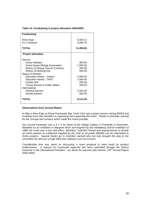| Table 14: Fundraising & project allocation 2004/2005 |  |  |
|------------------------------------------------------|--|--|
|                                                      |  |  |

| <b>Fundraising</b>                             |                    |
|------------------------------------------------|--------------------|
| Wine Expo                                      | 5,003.12           |
| 9 x 5 Artshow                                  | 6,280.70           |
|                                                |                    |
| <b>TOTAL</b>                                   | 11,283.82          |
| <b>Project allocation</b>                      |                    |
| Service:                                       |                    |
| Zonta Holidays                                 | 950.00             |
| Zonta House Refuge Association                 | 1,000.00           |
| District 23 Breast Cancer Cushions             | 200.00             |
| District 23 Birthing Kits                      | 500.00             |
| Status of Woman:                               |                    |
| Education Award - tertiary                     | 2,000.00           |
| <b>Education Award - TAFE</b>                  | 1,000.00           |
| Guides WA                                      | 200.00             |
| Young Woman in Public Affairs<br>International | 200.00             |
| <b>General Service</b>                         |                    |
| Amelia Earhart                                 | 2,563.35<br>500.00 |
|                                                |                    |
| TOTAL                                          | 9,113.35           |

In May a Wine Expo at Royal Freshwater Bay Yacht Club was a great success raising \$5003 and involving most club members in organising and supporting the event. Thanks to [member named] for the concept and contacts which made this event possible.

Our second fundraiser was a 9 x 5 Art Show at the Kidogo Gallery in Fremantle in November. Modelled on an exhibition in Margaret River and inspired by the Heidelberg School exhibition of 1889, the event was a true club effort. Members "solicited" friends and acquaintances to donate art works painted on craftboard supplied by the Club so all profits (\$6280) can be channelled to Zonta projects. Special thanks go to [member named] who not only brought the idea to the committee but also put a huge effort into making it such as success.

Considerable time was spent on discussing a novel proposal to raise funds by product endorsement. A request for in-principle approval has been submitted through the District Governor to the International President – we await the outcome with interest. (33 $\sigma$  Annual Report 2004-2005)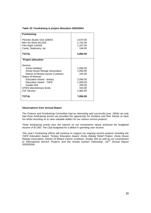| <b>Fundraising</b>                                                                                                                                                                                                                                                |                                                                                        |
|-------------------------------------------------------------------------------------------------------------------------------------------------------------------------------------------------------------------------------------------------------------------|----------------------------------------------------------------------------------------|
| Pericles Studio Visit 10/8/03<br>Mini Art Show 9/11/03<br>Film Night 14/3/03<br>Cards, Stationery, etc                                                                                                                                                            | 2,674.00<br>1,742.00<br>1,327.00<br>149.00                                             |
| <b>TOTAL</b>                                                                                                                                                                                                                                                      | 5,892.00                                                                               |
| <b>Project allocation</b>                                                                                                                                                                                                                                         |                                                                                        |
| Service:<br>Zonta Holidays<br>Zonta House Refuge Association<br>District 23 Breast cancer Cushions<br>Status of Woman:<br><b>Education Award - tertiary</b><br><b>Education Award - TAFE</b><br>Guides WA<br>STWS discretionary funds<br>Z <sub>1</sub> F Service | 1,056.00<br>1,050.00<br>220.00<br>2,056.00<br>1,000.00<br>200.00<br>310.00<br>1,964.00 |
| TOTAL                                                                                                                                                                                                                                                             | 7,856.00                                                                               |

The Finance and Fundraising Committee had an interesting and successful year. Whilst we only had three fundraising events we provided the opportunity for Zontians and their friends to have fun whilst assisting us to raise valuable dollars for our various service projects.

Three fundraising events plus the interest on our investments nearly achieved the budgeted income of \$7,000. The Club budgeted for a deficit in spending over income.

This year's fundraising efforts will continue to support our ongoing service projects including the TAFE Education Award, Tertiary Education Award, Zonta Holiday Relief Project, Zonta House Refuge Association, District 23 Breast Cancer Cushions, Guides WA as well as our commitment to International Service Projects and the Amelia Earhart Fellowship. (32<sup>nd</sup> Annual Report 2003/2004)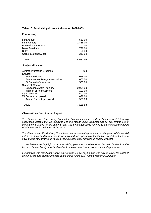| Table 16: Fundraising & project allocation 2002/2003 |  |  |
|------------------------------------------------------|--|--|
|                                                      |  |  |

| <b>Fundraising</b>                                                                                                                            |                                                                        |
|-----------------------------------------------------------------------------------------------------------------------------------------------|------------------------------------------------------------------------|
| Film August<br>Film January<br><b>Entertainment Books</b><br><b>Blues Breakfast</b><br><b>Bulbs</b><br>Cards, Stationery, etc<br><b>TOTAL</b> | 569.00<br>1,858.00<br>60.00<br>1,772.00<br>96.00<br>212.00<br>4,567.00 |
|                                                                                                                                               |                                                                        |
| <b>Project allocation</b>                                                                                                                     |                                                                        |
| <b>Awards Promotion Breakfast</b><br>Service:                                                                                                 | 408                                                                    |
| Zonta Holidays                                                                                                                                | 1,075.00                                                               |
| Zonta House Refuge Association                                                                                                                | 1,000.00                                                               |
| St Catherine's seminar<br>Status of Woman:                                                                                                    | 500.00                                                                 |
| <b>Education Award - tertiary</b>                                                                                                             | 2,094.00                                                               |
| Woman of Achievement                                                                                                                          | 100.00                                                                 |
| Other projects                                                                                                                                | 500.00                                                                 |
| Z1 Service (proposed)                                                                                                                         | 1,022.00                                                               |
| Amelia Earhart (proposed)                                                                                                                     | 500.00                                                                 |
| <b>TOTAL</b>                                                                                                                                  | 7,199.00                                                               |

The Finance and Fundraising Committee has continued to produce financial and fellowship successes, notably the film evenings and the recent Blues Breakfast and several events are in the planning stages for the coming year. The committee looks forward to the continuing support of all members in their fundraising efforts.

The Finance and Fundraising Committee had an interesting and successful year. Whilst we did not have many fundraising events we provided the opportunity for Zontians and their friends to have fun whilst assisting us to raise valuable dollars for our various service projects.

… We believe the highlight of our fundraising year was the Blues Breakfast held in March at the home of [a member's] parents. Feedback received was that it was an outstanding success.

Fundraising was significantly down on last year. However, the club was able to cover the costs of all our award and service projects from surplus funds.  $(31<sup>st</sup>$  Annual Report 2002/2003)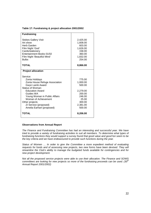| Table 17: Fundraising & project allocation 2001/2002 |  |  |
|------------------------------------------------------|--|--|
|                                                      |  |  |

| <b>Fundraising</b>                                                                                                                                                                                                                                                          |                                                                                                       |
|-----------------------------------------------------------------------------------------------------------------------------------------------------------------------------------------------------------------------------------------------------------------------------|-------------------------------------------------------------------------------------------------------|
| <b>Stokes Gallery Visit</b><br>Art show<br>Herb Garden<br>Film Night 'God'<br>Cards/stationery<br>Entertainment Books 01/02<br>Film Night 'Beautiful Mind'<br><b>Bulbs</b>                                                                                                  | 2,425.00<br>1.608.00<br>603.00<br>1,626.00<br>158.00<br>360.00<br>1,832.00<br>254.00                  |
| <b>TOTAL</b>                                                                                                                                                                                                                                                                | 8,866.00                                                                                              |
| <b>Project allocation</b>                                                                                                                                                                                                                                                   |                                                                                                       |
| Service:<br>Zonta Holidays<br>Zonta House Refuge Association<br>Gwyn Lamb Award<br>Status of Woman:<br><b>Education Award</b><br>Guides WA<br>Young Woman in Public Affairs<br>Woman of Achievement<br>Other projects<br>ZI Service (proposed)<br>Amelia Earhart (proposed) | 775.00<br>1,000.00<br>500.00<br>2,279.00<br>200.00<br>246.00<br>25.00<br>300.00<br>2,381.00<br>500.00 |
| <b>TOTAL</b>                                                                                                                                                                                                                                                                | 8,206.00                                                                                              |

The Finance and Fundraising Committee has had an interesting and successful year. We have tried to provide a variety of fundraising activities to suit all members. To determine what types of fundraising functions they would support a survey found that good value and good fun seem to be the key criteria and we have endeavoured to provide such functions during the year.

Status of Women … In order to give the Committee a more expedient method of evaluating requests for funds and of assessing new projects, two new forms have been devised. They will streamline the Club's ability to manage the budgeted funds available for contingencies and for new project development.

Not all the proposed service projects were able to use their allocation. The Finance and SOWS committees are looking for new projects so more of the fundraising proceeds can be used.  $(30<sup>th</sup>$ Annual Report 2001/2002)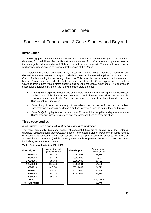## Section Three

## Successful Fundraising: 3 Case Studies and Beyond

## **Introduction**

The following general observations about successful fundraising derive directly from the historical database, from additional Annual Report information and from Club members' perspectives on that data gathered from individual Club members, from meetings with Teams and from an open workshop forum organised to review a draft version of this Report.

The historical database generated lively discussion among Zonta members. Some of this discussion is more pertinent to Report 2 which focuses on the internal implications for the Zonta Club of Perth in setting future strategic directions. This report is directed more broadly to readers beyond Zonta members and reflects lessons learned from the Zonta experience, as well as 'Learning from others' which offers observations beyond the Zonta experience. The analysis of successful fundraisers builds on the following three Case Studies:

- Case Study 1 explores in detail one of the more prominent fundraising themes developed by the Zonta Club of Perth over many years and clustered around art. Because of its longevity, uniqueness to the Club and success over time it is characterised here as a Club 'signature' fundraiser.
- Case Study 2 looks at a group of fundraisers not unique to Zonta but recognised universally as successful fundraisers and characterised here as being 'tried and trusted'.
- Case Study 3 highlights a success story for Zonta which exemplifies a departure from the Club's previous fundraising efforts and characterised here as 'new directions'.

## **Three case studies**

#### **Case Study 1: Art, a Zonta Club of Perth 'signature' fundraiser**

The most commonly discussed aspect of successful fundraising arising from the historical database focused around art shows/exhibitions. For the Zonta Club of Perth, the art focus has not only become a successful fundraiser, but one which the public came to associate with the Club and anticipate as a regular (mainly biennial) event. Table 18 presents historical data on the Club's fundraising around the art theme.

| Financial year | Amount raised<br>(whole dollars) | Financial year | Amount raised<br>(whole dollars) |
|----------------|----------------------------------|----------------|----------------------------------|
| 1981/1982      | \$4,272                          | 1996/1997      | \$1,385                          |
| 1983/1984      | \$4,242                          | 1998/1999      | \$9,091                          |
| 1985/1986      | \$5,754                          | 1999/2000      | \$3663                           |
| 1987/1988      | \$10,232                         | 2000/2001      | \$4,236                          |
| 1989/1990      | \$16,046                         | 2001/2002      | \$4,023                          |
| 1991/1992      | \$13,612                         | 2003/2004      | \$4,416                          |
| 1993/1994      | \$8,020                          | 2004/2005      | \$6,280                          |
| 1995/1996      | \$5,910                          |                |                                  |
| <b>Total</b>   |                                  |                | \$101,182                        |
| Average raised |                                  |                | \$6,745                          |

**Table 18: Art as a fundraiser 1981-2005**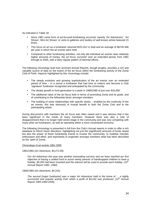As indicated in Table 18:

- Since 1981 some form of art-focused fundraising occurred; namely 'Art Adventures', 'Art Shows', Mini Art Shows' or visits to galleries and studios of well-known artists featured 15 times.
- This focus on art as a fundraiser returned \$101,812 in total and an average of \$6745.466 per year in which the art events were held.
- Compared to other fundraising activities, not only did individual art events raise relatively higher amounts of money, the art focus 'survived' over an extended period, from 1981 through to 2005, with a fairly regular pattern of biennial efforts.

The following chronology built from archived Annual Reports, though lengthy, provides a rich and valuable source of data on the extent of the art focus within the fundraising activity of the Zonta Club of Perth. Aspects highlighted by this chronology include:

- The steady evolution and growing sophistication of the art events over an extended period of time – in a sense a fundraiser that had time to mature and become a Club 'signature' fundraiser recognised and anticipated by the community.
- The steady growth in fund generation to a peak in 1989/1990 of just over \$16,000.
- The additional value of the art focus both in terms of promoting Zonta and its goals, and of contributing to the fellowship factor amongst members.
- The building of close relationships with specific artists enabled by the continuity of the art events; this was obviously of mutual benefit to both the Zonta Club and to the participating artists.

During discussions with members the art focus was often raised and it was obvious that it has been significant in the minds of many members. However there was also a note of disappointment that it no longer held centre-stage in the community and was now competing with many other art fundraisers, as well as operating within a more constrained economy.

The following chronology is presented in full from the Club's Annual reports in order to offer a rich database to inform future directions, highlighting not just the (significant) amounts of funds raised but also the power of these fundraising events to involve the community, to mobilise member enthusiasm and effort, and importantly to engender amongst members what has been described as the 'spirit of Zonta'.

#### Chronology of art events 1981-2005

1981/1982 (Art Adventure, \$4,272.95)

Our Art Adventure this year was another resounding success and we have reached our first objective of having a settled fund to assist needy parents of handicapped children to have a holiday. \$5,000 had been invested and the interest will be used to provide each holiday, (10<sup>th</sup> Annual Report 1981--1982)

1983/1984 (Art Adventure, \$4,242)

The second Imajor fundraiser] was a major Art Adventure held in the home of ... a highly successful and popular activity from which a profit of \$4,242 was produced. (12<sup>th</sup> Annual Report 1983-1984-2005)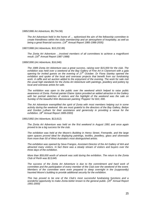1985/1986 Art Adventure, \$5,754.56)

The Art Adventure held in the home of … epitomised the aim of the fellowship committee to create friendliness within the clubs membership and an atmosphere of hospitality, as well as being a great financial success.  $(14^{th}$  Annual Report 1985-1986-2005)

1987/1988 (Art Adventure, \$10,232.89)

The Zonta Art Adventure …involved members of all committees to achieve a magnificent result.  $(16^{th}$  Annual Report 1987-1988)

1989/1990 (Art Adventure, \$16,046)

The 1989 Zonta Art Adventure was a great success, raising over \$15,000 for the club. The exhibition was held over a weekend at the Bay Gallery of Fine Art in Claremont with a gala opening for invited guests on the evening of  $27<sup>th</sup>$  October. Dr Fiona Stanley opened the exhibition and spoke of the local and overseas projects that benefit from our fundraising work. A raffle and art auction added to the enjoyment of the evening. The work for sale met the usual high standards for the Zonta Art Adventure with paintings, jewellery and pottery by local and overseas artists for sale.

The exhibition was open to the public over the weekend which helped to raise public awareness of Zonta. Portrait painter Elaine Upton provided an added attraction in the Gallery with her portrait sketches of visitors and the highlight of the weekend was the sale on Sunday of the beautiful Wim Boissevain painting 'Poppies' for \$10, 000.

The Art Adventure exemplified the spirit of Zonta with most members helping out in some activity during the weekend. We are most grateful to the directors of the Bay Gallery, Bettye and Gordon Lulham for their assistance and generosity in providing a venue for the exhibition. 18<sup>th</sup> Annual Report 1989-2000)

1991/1992 (Art Adventure, \$13,612)

The Zonta Art Adventure was held on the first weekend in August 1991 and once again proved to be a big success for the club.

The exhibition was held at the Moore's Building in Henry Street, Fremantle, and the large open spaces proved ideal for displaying paintings, textiles, jewellery, glass and silverware from more than 50 of West Australia's most distinguished artists.

The exhibition was opened by Seva Frangos, Assistant Director of the Art Gallery of WA and attracted many visitors. In fact there was a steady stream of visitors and buyers over the three days of the exhibition.

More than \$59,000 worth of artwork was sold during the exhibition. The return to the Zonta Club of Perth was \$13,645.

The success of the Zonta Art Adventure is due to the commitment and hard work of committee and the participation of every member of the Club over the weekend of the event. Members of the committee were even prepared to sleep overnight in the (supposedly) haunted Moore's building to provide additional security for the exhibition.

This has proved to be one of the Club's most successful fundraising functions and a wonderful opportunity to make Zonta better known to the general public. (20<sup>th</sup> Annual Report 1991-2000)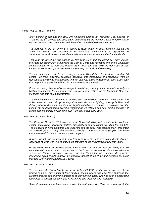#### 1993/1994 (Art Show, \$8.020)

After months of planning the 1993 Art Adventure opened at Fremantle Goal College of TAFE on the  $8<sup>th</sup>$  October and once again demonstrated the wonderful spirit of fellowship in our club as everyone contributed their best effort to make the event a success.

The purpose of the Art Show is of course to raise funds for Zonta projects, but the Art Show has always been regarded in the local arts community as an opportunity to showcase the work of West Australian artists and as a social event in the Zonta calendar.

This year the Art Show was opened by Mrs Ruth Reid and compered by Verity James, providing an opportunity to publicise the work of Zonta and introduce two of the Education award winners to the 300 plus guests. Both Verity and Mrs Reid are generous in their support of Zonta and greatly assisted in promoting our work on the evening.

The unusual venue made for an exciting exhibition. We exhibited the work of more than 50 artists. Paintings, jewellery, ceramics, sculpture, fine timberware and tableware were all represented as well as leathergoods and silk scarves. Sales totalled over than \$8,000, less than in previous years but still a substantial amount in fundraising.

Zonta has many friends who are happy to assist in providing such professional help as lighting and hanging the exhibition. The assistance from TAFE and the Fremantle Gaol site manager was also much appreciated.

The committee worked very hard to achieve such an excellent result with many laughs and a few tense moments along the way. Concerns about the lighting, catering facilities and delivery of artworks, not to mention the logistics of lifting several tons of sculpture over the prison wall all disappeared over the weekend as we relaxed and enjoyed the company of  $\mu$  artists, visitors and fellow Zontians. ( $22<sup>nd</sup>$  Annual Report 1993-1994)

#### 1995/1996 (Art Show, \$5,910)

The Zonta Art Show for 1995 was held at the Moore's Building in Fremantle with sixty-three artists, printmakers, jewellers, potters, glassmakers and sculptors providing the exhibits. The standard of work submitted was excellent and the show was professionally presented and looked great! Through the excellent publicity … thousands more people have been made aware of Zonta and our community projects.

A very special and exciting inclusion this year was the first 'Emerging Artists Award'. According to three well known judges the standard of the finalists' work was very high.

Profits were down on previous years. One of the most obvious reasons being that we compete with twelve other charities and schools etc in the metropolitan area who run similar Art Shows annually. However, the Art Committee has several ideas under discussion which should improve this negative aspect of the show and increase our profit margins. (24<sup>th</sup> Annual Report 1995-1996)

#### 1996/1997 (Art Visit, \$1,385)

The biennial Art Show has been put on hold until 1998, in the interim we have been visiting some of 'our' artists at their studios, seeing where and how they approach the creative process and enjoy the ambience of their surroundings. This has been a successful fundraiser to support our Emerging Artist Award and great for club fellowship.

Several excellent ideas have been mooted for next year's Art Show incorporating all the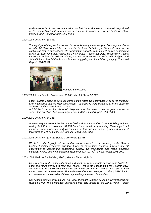positive aspects of previous years, with only half the work involved. We must keep ahead of 'the competition' with new and creative concepts without losing our Zonta Art Show tradition.  $(25<sup>th</sup>$  Annual Report 1996-1997)

1998/1999 (Art Show, \$9,091)

The highlight of the year for me and I'm sure for many members (and honorary members) was the Art Show with a Difference. Held in the Moore's Building in Fremantle there was a continuous festive atmosphere with participation not only from our well-known contributing artists but also some new names on a new media – decorated pots. These were a great success in unleashing hidden talents; the two most noteworthy being Bill Lindgard and John Oldham. Special thanks for this event, triggering our financial buoyancy. ( $27<sup>th</sup>$  Annual Report 1998-1999)



Art show in the 1980s

1999/2000 (Leon Pericles Studio Visit, \$1,646; Mini Art Show, \$2.017)

Leon Pericles welcomed us to his home studio where we entertained over seventy people with champagne and chicken sandwiches. The Pericles were delighted with the sales we achieved, and we were invited to return.

A Mini Art Show at the offices of Linley and Les Buchanan proved a great success. It seems this event has become a regular event. (28<sup>th</sup> Annual Report 1999-2000)

2000/2001 (Art Show, \$4,236)

Another very successful Art Show was held in Fremantle at the Moore's Building in June, raising \$4,236 from sales and \$1,754 from the cocktail party opening. Thanks go to all members who organised and participated in this function which generated a lot of fellowship as well as funds.  $(29<sup>th</sup>$  Annual Report 2000-2001)

2001/2002 (Art Show, \$1,608; Stokes Gallery visit, \$2,415)

We believe the highlight of our fundraising year was the cocktail party at the Stokes Gallery. Feedback received was that it was an outstanding success. It was a one off opportunity to inspect this sensational gallery, sip champagne and nibble delicious  $c$ anapés. All this and we managed to raise over \$2,400. (30<sup>th</sup> Annual Report 2001-2002

2003/2004 (Pericles Studio Visit, \$2674; Mini Art Show, \$1,742)

On a wet and windy Sunday afternoon in August we were fortunate enough to be hosted by Leon and Moira Pericles in their cosy studio. This is the second time the Pericles have allowed us to use their beautiful venue and members and their friends were shown how Leon creates his masterpieces. This enjoyable afternoon managed to raise \$2,674 thanks to members who attended and those of you who purchased pieces of art.

Our second fundraiser was a Mini Art Show at Impact Communications in November which raised \$1,742. The committee introduce some new artists to the Zonta world – these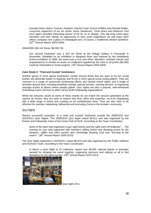included Dean Alston, Frances Andrijich, Rachel Coad, Emma Griffiths and Pamela Walter. Long-time supporters of our art shows Jenny Sanderson, Tricia Hines and Rebecca Cool once again provided interesting pieces of art for us to display. This day-long event gave members and their friends an opportunity to view some magnificent art and enjoy each others company over a glass of champagne and, of course, a traditional chicken sandwich.  $(32<sup>nd</sup>$  Annual Report 2003-2004)

2004/2005 (9x5 Art Show, \$6,280.70)

Our second fundraiser was a 9x5 Art Show at the Kidogo Gallery in Fremantle in November. Modelled on an exhibition in Margaret River and inspired by the Heidelberg School exhibition of 1889, the event was a true club effort. Members 'solicited' friends and acquaintances to donate art works on craftboard supplied by the Club so all profits (\$6,280) could be channelled to Zonta projects.  $(33<sup>rd</sup>$  Annual Report 2004-2005)

#### **Case Study 2: 'Tried and trusted' fundraisers**

Another group of more typical fundraisers cluster around those that are seen to be fun social events, are generally easier to organise and fit into a more typical social outing pattern. They are common to a range of community fundraising efforts and include movie nights and a range of activities around food, including breakfast outings, special lunches, evening dinners, or organising sausage sizzles at places where people gather. Quiz nights are also a popular, well-rehearsed fundraising event common to other not-for-profit fundraising organisations.

While the amounts raised at some of these events do not match the amount generated at the various art shows, they are seen to require less time, effort and expertise, vis-à-vis negotiating with a wide range of artists and curating an art exhibition/art show. They are also seen to be effective for member networking, fellowship and promoting Zonta to the broader community.

#### Quiz Nights

Recent successful examples of a 'tried and trusted' fundraiser include the 2009/2010 and 2010/2011 Quiz Nights. The 2009/2010 Quiz Night raised \$4,811 and was organised by the Events and Fellowship Team of the Zonta Club of Perth. According to the Team Coordinator:

None of the team had organised a quiz night before and the night went off brilliantly! … The evening as very well supported with members selling tickets and donating prizes for the hampers, raffles and silent auction and Cambridge Bowling Club was "bursting at the seams".  $(38<sup>th</sup>$  Annual Report 2009-2010)

The Quiz Night organised in 2010/2011 raised \$6,915 and was organised by the Public relations and Archives Team. According to the Team Coordinator:

In March a Quiz Night at St Catherine' raised over \$6,000. Special thanks to [member named] for bringing the event together, organising sponsors and rallying us all to find donations for the silent auction.  $(39<sup>th</sup>$  Annual Report 2010-2011)



Quiz night 2011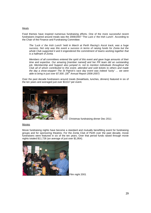#### Meals

Food themes have inspired numerous fundraising efforts. One of the more successful recent fundraisers inspired around meals was the 2006/2007 'The Luck o' the Irish Lunch'. According to the Chair of the Finance and Fundraising Committee:

The 'Luck o' the Irish Lunch' held in March at Perth Racing's Ascot track, was a huge success. Not only was this event a success in terms of raising funds for Zonta but the whole Club supported it and it engendered the commitment of teams working together that is a hallmark of Zonta.

Members of all committees entered the spirit of this event and gave huge amounts of their time and expertise. Our amazing [member named] and her PR team did an outstanding job. Membership and Support also jumped in, not to mention individuals throughout the Club all of whom contributed to this event, attended and sold tickets to others and made the day a show-stopper! The St Patrick's race day event was indeed 'lucky' … we were able to bring in just over  $$7,500.$  (35<sup>th</sup> Annual Report 2006-2007)

Over the past decade fundraisers around meals (breakfasts, lunches, dinners) featured in six of the ten years and averaged just over \$3,617 per event.



Christmas fundraising dinner Dec 2011

#### Movies

Movie fundraising nights have become a standard and mutually benefitting event for fundraising groups and for sponsoring theatres. For the Zonta Club of Perth over the past decade, movie fundraisers were featured in six of the ten years. Over that period funds raised through movie nights totaled \$11,726 (an average of just over \$1,954).



Film night 2001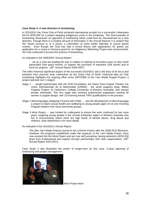#### **Case Study 3: A new direction in fundraising**

In 2010/2011 the Zonta Club of Perth achieved international acclaim for a successful Lotterywest bid for \$230,000 for a project targeting Indigenous youth in the Kimberley. This final example of fundraising showcases an approach to fundraising which could best be characterised as a new direction. Though there is a modest amount of information in the Annual Reports it is evident that this recent success is, in a sense, a culmination of some earlier attempts to secure grants monies. Even though the Club has had a mixed history with applications for grants (an application for a Living in Harmony grant for an Indigenous Mentoring Project was unsuccessful), the Club continued to pursue this avenue of fundraising.

As indicated in the 2006/2007 Annual Report:

… we as a Club are leading the way in relation to looking at innovative ways to raise funds particularly from grant monies, to support the purchase of important Club assets and to fund our projects.  $(35<sup>th</sup>$  Annual Report 2006-2007)

The other historical significant aspect of the successful 2010/2011 bid is the story of its focus and evolution from previous work undertaken by the Zonta Club of Perth. Historical data on Club fundraising highlights the ongoing effort since 2007/2008 of the Yarri Wada Puppet Project; a project planned over 3 stages:

- Stage 1 ... sought partnerships with the EON Foundation; the Spare Parts Puppet Theatre; the Union Internationale de la Marionnette (UNIMA) - the world puppetry body; Million Puppets Project; St Catherine's College (University of Western Australia); and several private individuals. This first stage also involved professional puppeteers training 50 women in puppet design, with 19 receiving formal TAFE qualifications in the process.
- Stage 2 Monorngungga (Stepping Forward with Pride) … saw the development of Monorngungga a project to teach sexual health and wellbeing to young people aged 10-16 and involving Program leaders from local community groups.
- Stage 3 Ilerla Project ... was funded by Lotterywest to ensure the work continued for two more years, targeting young people in the remote Kimberley region of Western Australia who live in environments where there are high levels of alcohol abuse, drug abuse and violence. (See Attachment 4 for more detail)

#### As indicated in the 2010/2011 Annual Report:

This [the Yarri Wada Project] ceased to be a District Project after the 2008-2010 Biennium. However, the programs established under the auspices of the Yarri Wada Project, have now evolved into the Ilerla Project and are now self-sustaining, having attracted a \$230,000 grant from [Lotterywest] and support through partnerships with other organisations. (39<sup>th</sup> Annual Report 2010-2011)

Case Study 3 also illustrates the power of longer-term (in this case, 3-year) planning of fundraising and project management.



Ilerla Project team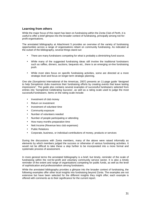## **Learning from others**

While the major focus of this report has been on fundraising within the Zonta Club of Perth, it is useful to offer a brief glimpse into the broader context of fundraising, principally among not-forprofit organisations.

The annotated bibliography at Attachment 5 provides an overview of the variety of fundraising opportunities across a range of organisations reliant on community fundraising. As indicated at the outset of the bibliography, several things stand out:

- There are many fundraisers competing for what is probably a diminishing fund source.
- While many of the suggested fundraising ideas still involve the traditional fundraisers such as raffles, dinners, auctions, bequests etc., there is an emerging on-line fundraising push.
- While most sites focus on specific fundraising activities, some are directed at a more strategic level and focus on longer-term strategic planning.

One site (Soroptimist International of the Americas, 2007) presents an 11-page guide "designed to help Soroptimist clubs maximize their fundraising efforts by creating events that leave lasting impressions". The guide also contains several examples of successful fundraisers selected from entries into 'Soroptimist Celebrating Success', as well as a rating scale used to judge the most successful fundraisers. Items on the rating scale include:

- Investment of club money
- Return on investment
- Investment of volunteer time
- Community exposure
- Number of volunteers needed
- Number of people participating or attending
- How many months preparation time
- Nett Income (Revenue less club expenses)
- **Public Relations**
- Corporate, business, or individual contributions of money, products or services

During the discussions with Zonta members, many of the above were raised informally as elements by which members judged the success or otherwise of various fundraising activities. It would not be difficult to take these a step further to be incorporated into a more formal and systematic process of assessment.

In more general terms the annotated bibliography is a brief, but timely, reminder of the scale of fundraising within the not-for-profit and voluntary community service sector. It is also a timely reminder of the extent and range of organisations competing for public funds, as well as the level of sophistication and professionalism among fundraisers.

While the annotated bibliography provides a glimpse into the broader context of fundraising, the following examples offer other local insights into fundraising beyond Zonta. The examples are not extensive but have been selected for the different insights they might offer; each example is offered with comments as to their significance for the current report.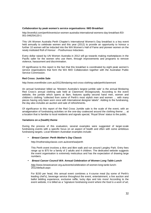#### **Collaboration by peak women's service organisations: IWD Breakfast**

http://eventful.com/perth/events/un-women-australia-international-womens-day-breakfast-/E0- 001-046254120-1

This UN Women Australia Perth Chapter's International Women's Day breakfast is a key event held annually to celebrate women and this year (2012) to provide an opportunity to honour a further 10 women will be inducted into the WA Women's Hall of Fame and pioneer women on the newly instituted Roll of Honour - Posthumous Inductees.

Every dollar raised by UN Women Australia in 2012 will go towards making marketplaces in the Pacific safer for the women who use them, through improvements and programs to remove violence, harassment and discrimination.

Of significance to this report is the fact that this breakfast is coordinated by eight peak women's service organisations that form the WA IWD Collaboration together with the Australian Public Service Commission.

#### **Red Cross: Jumble Sale**

http://www.eventfinder.com.au/2012/bindaring-red-cross-clothing-sale/perth/claremont

An annual fundraiser billed as 'Western Australia's largest jumble sale' is the annual Bindaring Red Cross's annual clothing sale held at Claremont Showgrounds. According to the event website, the jumble which opens at 9am, features quality second hand men, women and children's clothing "collected from some of Perth's most stylish men and women … with many pieces having only been worn once with International designer labels". Adding to the fundraising, the day also includes an auction and sale of refreshments.

Of significance to this report of the Red Cross Jumble sale is the scale of the event, with an amalgamation of fundraising activities on the one-day coalesced around the clothing theme … at a location that is familiar to local residents and signals special, 'Royal Show' status to the public.

#### **Variations on a (health) theme**

During the process of this evaluation, several examples were suggested of larger-scale fundraising events with a specific focus on an aspect of health and often with some ambitious fundraising targets. Local Western Australian examples include:

#### • **Breast Cancer: Perth Mother's Day Classic**

http://mothersdayclassic.com.au/event/wa/perth

This Perth event involves a 4km and 8km walk and run around Langley Park. Entry fees range up to \$75 for a family of 2 adults and 4 children. The dedicated website suggests the event organisation is extremely meticulous and has the expectation of drawing large numbers.

#### • **Breast Cancer Council WA: Annual Celebration of Women Long Table Lunch**

http://www.breastcancer.org.au/events/celebration-of-women-long-tanle-lunch-2012/default.aspx

For \$150 per head, this annual event combines a 4-course meal (by some of Perth's leading chef's), beverage service throughout the event, entertainment, a live auction and ballot bidding experience, exclusive raffle, lucky dips and lots more! According to the event website, it is billed as a "signature fundraising event where the food is a work of art,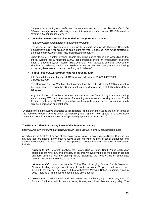the produce of the highest quality and the company second to none. This is a day to be fabulous, indulge with friends and join us in taking a moment to support West Australians through a breast cancer journey".

#### • **Juvenile Diabetes Research Foundation: Jump to Cure Diabetes**

http://www.teamcurediabetes.org.au/event/WAJump

The Jump to Cure Diabetes is an initiative to support the Juvenile Diabetes Research Foundation's (JDRF's) mission to find a cure for type 1 diabetes, with funds directed to the best and most promising Australian diabetes research.

Jump to Cure Diabetes involves **p**eople sky-diving out of planes and according to the official website, for a minimum \$1,000 per participant offers: an Introductory skydiving brief; a tandem Skydive; scenic Flight over the Avon Valley; a personal DVD of the skydiving experience; lunch at the Skydive; as well as "knowing that you are contributing to the very best research into a cure for type 1 diabetes".

#### • **Youth Focus: 2012 Hawaiian Ride for Youth at Perth**

http://eventful.com/perth/events/2012-hawaiian-ride-youth-/E0-001-046263092- 1@2012032700

The Hawaiian Ride for Youth is about to embark on the tenth ride since 2003 and is set to be bigger than ever, with the 88 riders setting a fundraising target of 1.25 million dollars for 2012.

A group of riders will embark on a journey over five days from Albany to Perth, covering approximately 700km, in the name of spreading awareness and raising funds for Youth Focus; a not-for-profit WA organisation working with young people to prevent youth suicide, depression and self harm.

Of significance in the above examples to this report is (a) the 'thinking outside the box' in terms of the activities (often involving active participation) and (b) the likely appeal of a specifically nominated beneficiary (often one that will potentially appeal to a broad public).

#### **The Rotarian: Five Fundraising Ideas of the Fermented Variety**

http://www.rotary.org/en/MediaAndNews/News/Pages/110325\_news\_winefundraisers.aspx

An article in the April 2011 edition of The Rotarian by Kathy Holiday suggests Rotary Clubs in this day and age are finding many creative ways to tap into wine as part of social gatherings and appeal to wine lovers to raise funds for their projects. Themes that are developed by the author include:

- **'Cheers to art' …** which involves **t**he Rotary Club of Paarl, South Africa each year auctioning off wine, art, and jewellery at an area vineyard with club members in top hat and tails assisting with the bidding; In the Bahamas, the Rotary Club of South-East Nassau presents an Evening of Jazz, Art.
- **'Vintage fests' …** which involves the Rotary Club of Langley Central, British Columbia, Canada holding vintage wine-tasting festivals for over 20 years and raised over \$700,000 for charity; The Rotary Club of Abbotsford-Matsqui, British Columbia, which in 2011, held its 17th annual wine tasting and silent auction.
- **'Brews too' …** where wine and beer brews are combined, e.g. The Rotary Club of Bonsall, California, which holds a Wine, Brews, and Blues Festival every May; The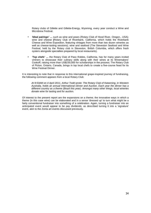Rotary clubs of Gillette and Gillette-Energy, Wyoming, every year conduct a Wine and Microbrew Festival.

- **'Ideal pairings' …** such as wine and pears (Rotary Club of Hood River, Oregon., USA); wine and cheese **(**Rotary Club of Riverbank, California, which holds the Riverbank Cheese and Wine Exposition, featuring vintages from more than two dozen wineries as well as cheese-tasting sessions); wine and seafood (The Steveston Seafood and Wine Festival, held by the Rotary club in Steveston, British Columbia, which offers fresh oysters alongside specialties prepared by local restaurants).
- **'Top chefs' …** the Rotary Club of Paso Robles, California, has for many years invited vintners to showcase their culinary skills along with their wines at its Winemakers' Cookoff, raising more than US\$230,000 for scholarships in the process; The Rotary Club of Picton, Ontario, Canada, brings in top local chefs to create a five-course feast for its Wine Festival Dinner.

It is interesting to note that in response to this international grape-inspired journey of fundraising, the following comment appears from a local Rotary Club:

At 9:53AM on 4 April 2011, Arthur Todd wrote: The Rotary Club of Katanning, in Western Australia, holds an annual International Dinner and Auction. Each year the dinner has a different country as a theme (Brazil this year). Amongst many other things, local wineries donate wine for tasting and for auction.

Of interest to the present report are the expansions on a theme; the innovative ways in which a theme (in this case wine) can be elaborated and in a sense 'dressed up' to turn what might be a fairly conventional fundraiser into something of a celebration. Again, turning a fundraiser into an anticipated event would appear to be pay dividends; as described turning it into a 'signature' event, akin to the Zonta art events discussed previously.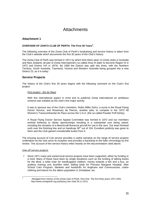## **Attachments**

## **Attachment 1**

## **OVERVIEW OF ZONTA CLUB OF PERTH: The First 30 Years<sup>3</sup>** .

The following overview of the Zonta Club of Perth's fundraising and service history is taken from the Club's website which documents the first 30 years of the Club's history.

The Zonta Club of Perth was formed in 1971 by which time there were 13 Zonta clubs in Australia and New Zealand; all part of Zonta International's so-called Area III (later to become Region III in 1972 and District XVI in 1974). By 1990 the District was split into three, with the Northern Territory, South Australia, Tasmania, Victoria and Western Australia being grouped into a new District 23, as it is today.

## **Service Projects**

The history of the Club's first 30 years begins with the following comment on the Club's first project:

#### First project - the Air Race

With this international aspect in mind and to publicise Zonta International an ambitious scheme was initiated as the club's first major activity.

It was to sponsor two of the Club's members, Robin Miller Dicks, a nurse in the Royal Flying Doctor Service, and Rosemary de Pierres, another pilot, to compete in the 1973 All Women's Transcontinental Air Race across the U.S.A. (the so-called Powder Puff Derby).

A Royal Flying Doctor Service Appeal Committee was formed in 1972 and our members worked tirelessly to obtain sponsorships resulting in a substantial sum being raised, including the donation of a Beechcraft Bonanza aircraft for use in the race. Our team finished sixth over the finishing line and on handicap  $36<sup>th</sup>$  out of 104. Excellent publicity was given to them and the Club gained considerable kudos from it.

The ensuing account of Cub service provides a useful narrative on the range of service projects undertaken by the club since its inception and provides a backdrop to the fuller chronology by this review. This account of the service history relies heavily on the documentation cited above.

#### One-off service projects

• Since 1971 many and varied local service projects have been supported, either by funding or in kind. Many of these have been by single donations such as the funding of talking books for the blind, a toilet chair for handicapped children, money towards a kiln and a bus, an auditory training unit, bushfire relief, folding beds for Princess Margaret Hospital, After School Care Program, blankets and foodstuffs for Anglicare and Communicare, cotton clothing and lotions for the albino population in Zimbabwe, etc.

-<br>3

Abridged from History of the Zonta Club of Perth, Part One: The first thirty years 1971-2001 http://www.zontaperth.org.au/history.htm cited 30.11.2011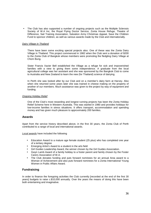• The Club has also supported a number of ongoing projects such as the Multiple Sclerosis Society of W.A Inc, the Royal Flying Doctor Service, Zonta House Refuge, Theatre of Difference, Sail Training Association, Salvation Army Christmas Appeal, Save the Children Fund to sponsor children, as well as various awards made by the Club and internationally.

#### Dairy Village in Thailand

There have been some exciting special projects also. One of these was the Zonta Dairy Village in Thailand. This project commenced in 1982 when the Club sent a donation of \$200 to the Zonta Club of Bangkok whose members were promoting the fledgling Dairy Village at Chom Bung.

Sister Francis Xavier Bell established the Village as a refuge for sick and impoverished families with a view to giving them some independence. A graduate from the local agricultural college was her assistant and she was sponsored by the Bangkok Club to come to Australia and New Zealand to learn the new (for Thailand) science of dairying.

In Perth she was looked after by our Club and on a member's dairy farm at Harvey. Also when she returned some years later she was trained in cheese making on the property of another of our members. Much assistance was given to the project by way of equipment and funding.

#### Ongoing Holiday Relief

One of the Club's most rewarding and longest running projects has been the Zonta Holiday Relief Scheme here in Western Australia. This was started in 1980 and provides holidays for low-income families in stress situations. It offers transport, accommodation and spending money and has given much pleasure to approximately 200 families.

## **Awards**

Apart from the service history described above, in the first 30 years, the Zonta Club of Perth contributed to a range of local and international awards.

Local awards have included the following

- Education Award to a mature age female student (25 plus) who has completed one year of a tertiary degree
- Emerging Artist's Award to a student in the arts field
- Girl Guides Leadership Award, the winner chosen by the Girl Guides Association.
- Gwyn Lamb Award of a family holiday to a foster parent and family chosen by the Foster Carers Association of W.A.
- The Club donates funding and puts forward nominees for an annual Area award to a Woman of Achievement and also puts forward nominees for a Zonta International Young Women in Public Affairs Award.

## **Fundraising**

In order to finance the foregoing activities the Club currently [recorded at the end of the first 30 years] budgets to raise c.\$10,000 annually. Over the years the means of doing this have been both entertaining and imaginative.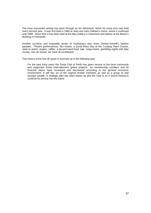The most successful activity has been through an Art Adventure, which for some time was held every second year. It was first held in 1980 at Jean and John Oldham's home, where it continued until 1988. Since then it has been held at the Bay Gallery in Claremont and latterly at the Moore's Building in Fremantle.

Another lucrative and enjoyable series of fundraisers was Anne Dreske-Somoff's fashion parades. Theatre performances, film shows, a Zonta Race Day at the Toodyay Race Course, visits to artists' studios, raffles, a second hand book sale, swap-meets, gambling nights with fake money, mini art shows, etc have all contributed.

This history of the first 30 years is summed up in the following way:

For the past thirty years the Zonta Club of Perth has given service to the local community and supported Zonta International's global projects. Its membership numbers and its financial status have increased and decreased according to the general economic environment. It still has six of the original charter members as well as a group of vital younger people. A strategic plan has been drawn up and the Club is on a sound footing to continue its service into the future.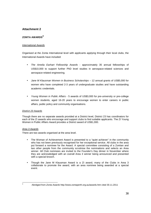## **Attachment 2**

## **ZONTA AWARDS<sup>4</sup>**

## International Awards

Organised at the Zonta International level with applicants applying through their local clubs, the International Awards have included:

- The Amelia Earhart Fellowship Awards approximately 35 annual fellowships of US\$10,000 to support further PhD level studies in aerospace-related sciences and aerospace-related engineering.
- Jane M Klausman Women in Business Scholarships 12 annual grants of US\$5,000 for women who have completed 2-3 years of undergraduate studies and have outstanding academic credentials.
- Young Women in Public Affairs 5 awards of US\$3,000 for pre-university or pre-college women students, aged 16-20 years to encourage women to enter careers in public affairs, public policy and community organisations.

## District 23 Awards

Though there are no separate awards provided at a District level, District 23 has coordinators for each of the ZI awards who encourage and support clubs to find suitable applicants. The ZI Young Women in Public Affairs Award provides a District award of US\$1,000.

## Area 3 Awards

There are two awards organised at the area level.

- The Woman of Achievement Award is presented to a "quiet achiever" in the community who has not been previously recognised for her exceptional service. All clubs in the area put forward a nominee for the Award. A special committee consisting of a Zontian and two other people from the community scrutinise the nominations and selects an Area winner. All Club nominees are invited to the Founder's Day dinner in November where they are acknowledged with an overall Area 3 winner being announced and presented with a special brooch.
- Though the Jane M Klausman Award is a ZI award, many of the Clubs in Area 3 collaborate to promote the award, with an area nominee being awarded at a special event.

 $\frac{1}{4}$ 

Abridged from Zonta Awards http://www.zontaperth.org.au/awards.htm cited 30.11.2011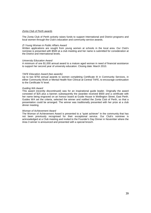#### Zonta Club of Perth awards

The Zonta Club of Perth actively raises funds to support International and District programs and local women through the Club's education and community service awards.

#### ZI Young Woman in Public Affairs Award

Written applications are sought from young women at schools in the local area. Our Club's nominee is presented with \$500 at a club meeting and her name is submitted for consideration at the District and International levels.

#### University Education Award

A minimum of one \$1,000 annual award to a mature aged woman in need of financial assistance to support her second year of university education. Closing date: March 2010.

#### TAFE Education Award (two awards)

Up to two \$750 annual awards to women completing Certificate III in Community Services, in either Community Work or Mental Health Non Clinical at Central TAFE, to encourage continuation to the Certificate IV level.

#### Guiding WA Award

This award (recently discontinued) was for an inspirational guide leader. Originally the award consisted of \$25 plus a banner; subsequently the awardee received \$500 and a certificate with her name being engraved on an honour board at Guide House in Wellington Street, East Perth. Guides WA set the criteria, selected the winner and notified the Zonta Club of Perth, so that a presentation could be arranged. The winner was traditionally presented with her prize at a club dinner meeting.

#### Woman of Achievement Award

The Woman of Achievement Award is presented to a "quiet achiever" in the community that has not been previously recognised for their exceptional service. Our Club's nominee is acknowledged at a Club meeting and invited to the Founder's Day Dinner in November where the Area 3 winner is announced and presented with a special brooch.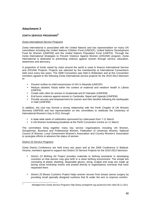## **Attachment 3**

## **ZONTA SERVICE PROGRAMS<sup>5</sup>**

#### Zonta International Service Programs

Zonta International is associated with the United Nations and has representation on many UN committees including the United Nations Children Fund (UNICEF), United Nations Development Fund for Women (UNIFEM) and the United Nations Population Fund (UNFPA). Through the Zonta International Strategies to Prevent Violence Against Women (ZISVAW) program, Zonta International is dedicated to preventing violence against women through service, education, awareness and advocacy.

A proportion of funds raised by clubs around the world is used to finance International Service and ZISVAW Projects. Projects are selected by the membership at International Conventions held once every two years. The 2008 Convention was held in Rotterdam and at this Convention members agreed to the following Zonta International service projects for the 2010-2012 biennium to:

- Prevent mother-to-child transmission of HIV in Rwanda (UNICEF)
- Reduce obstetric fistula within the context of maternal and newborn health in Liberia (UNFPA)
- Create safe cities for women in Guatemala and El Salvador (UNIFEM)
- End burns violence against women in Cambodia, Nepal and Uganda (UNIFEM)
- Provide security and empowerment for women and their families following the earthquake in Haiti (UNIFEM)

In addition, the club has formed a strong relationship with the Perth Chapter of UN Women (formerly UNIFEM) and has representation on two committees to celebrate the Centenary of International Women's Day in 2011 through:

- A state-wide week of celebration sponsored by Lotterywest from 7-11 March
- A UN Women fundraising breakfast at the Perth Convention Centre on 11 March.

The committees bring together many key service organisations including UN Women, Soroptimists, Business and Professional Women, Federation of University Women, National Council of Women, Local Government Women's Association and Country Women's Association to synergise efforts to advance the status of women.

#### District 23 Service Programs

Zonta District Conference are held every two years and at the 2009 Conference in Ballarat, Victoria, members agreed to support two District 23 Service Projects for the 2010-2012 biennium.

- District 23 Birthing Kit Project provides materials to birthing assistants in developing countries so that women may give birth in a clean birthing environment. The simple kits consisting of plastic sheeting, disposable gloves, string, scalpel and soap are made up during social workshop events and posted directly to organisations overseas that have requested them.
- District 23 Breast Cushions Project helps women recover from breast cancer surgery by providing small specially designed cushions that fit under the arm to improve comfort.

<sup>-&</sup>lt;br>5

Abridged from Zonta Service Programs http://www.zontaperth.org.au/service.htm cited 30.11.2011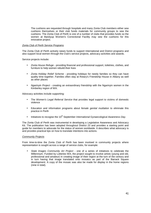The cushions are requested through hospitals and many Zonta Club members either sew cushions themselves or their club funds materials for community groups to sew the cushions. The Zonta Club of Perth is one of a number of clubs that provides funds so the women at Bandyup Women's Correctional Facility may sew the cushions for this innovative project.

#### Zonta Club of Perth Service Programs

The Zonta Club of Perth actively raises funds to support International and District programs and also support local women through the Club's service projects, advocacy activities and awards.

Service projects include**:** 

- Zonta House Refuge providing financial and professional support, toiletries, clothes, and furniture to help women rebuild their lives
- Zonta Holiday Relief Scheme providing holidays for needy families so they can have quality time together. Families often stay at Rotary's Friendship House in Albany as well as other places
- Ngarinyin Project creating an extraordinary friendship with the Ngarinyin women in the Kimberley region of WA.

Advocacy activities include supporting:

- The Women's Legal Referral Service that provides legal support to victims of domestic violence
- Education and information programs about female genital mutilation to eliminate this practice in Perth
- Initiatives to recogise the 10<sup>th</sup> September *International Gynaecological Awareness Day*.

The Zonta Club of Perth was instrumental in developing a Legislative Awareness and Advocacy Kit. The publication has been adopted throughout District 23 and provides a starting point and guide for members to advocate for the status of women worldwide. It describes what advocacy is and provides practical tips on how to translate intentions into actions.

#### Community Projects

From time-to-time the Zonta Club of Perth has been involved in community projects where representation is sought across a range of service clubs, for example:

State Images Community Art Project - one of a series of initiatives to celebrate the Millennium. Funded by Lotteries WA, the project sought to involve artists (young and old, professional and amateur) in creating image of their region at the turn of the century and in turn having that image translated onto mosaics as part of the Barrack Square development. A copy of the mosaic was also be made for display in the home regions (nine in total).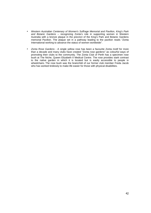- Western Australian Centenary of Women's Suffrage Memorial and Pavilion, King's Park and Botanic Gardens – recognizing Zonta's role in supporting women in Western Australia with a bronze plaque in the precinct of the King's Park and Botanic Gardens memorial Pavilion. The plaque set in a pathway leading to the pavilion reads "Zonta International working to advance the status of women worldwide".
- Zonta Rose Gardens A single yellow rose has been a favourite Zonta motif for more than a decade and many clubs have created "Zonta rose gardens" as colourful ways of promoting their clubs to the community. The Zonta Club of Perth has a specimen rose bush at The Niche, Queen Elizabeth II Medical Centre. The rose provides stark contrast to the native garden in which it is located but is easily accessible to people in wheelchairs. The rose bush was the brainchild of our former club member Freda Jacob who has worked tirelessly to make life easier for those with physical disabilities.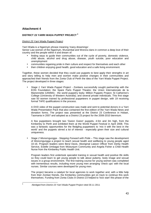## **Attachment 4**

## **DISTRICT 23 YARRI WADA PUPPET PROJECT <sup>6</sup>**

#### District 23 Yarri Wada Puppet Project

Yarri Wada is a Ngarinyin phrase meaning 'many dreamings'.

Senior Law women of the Ngarinyin, Wunambal and Worora clans in common a deep love of their country and the people within it and dream of:

- finding ways to guide their communities out of the cycle of poverty, domestic violence, child abuse, alcohol and drug abuse, disease, youth suicide, poor education and unemployment
- communities regaining pride in their culture and respect for themselves and each other
- their children enjoying good health, good education and a safe living environment.

Together, these women decided that they could use puppets to best apply their strengths in art and story telling to help men and women make positive changes in their communities and approached their friends from the Zonta Club of Perth the idea of the Yarri Wada Puppet Project. The project developed in three stages:

Stage 1 Yarri Wada Puppet Project - Zontians successfully sought partnership with the EON Foundation; the Spare Parts Puppet Theatre; the Union Internationale de la Marionnette (UNIMA) - the world puppetry body; Million Puppets Project; St Catherine's College (University of Western Australia); and several private individuals. This first stage saw 50 women trained by professional puppeteers in puppet design, with 19 receiving formal TAFE qualifications in the process.

A DVD video of the puppet construction was made and sent to potential donors in a Yarri Wada Presentation Pack that also contained the first edition of the Yarri Wada News and donation forms. The project was presented at the District 23 Conference in Hobart, Tasmania in 2007 and adopted as a District 23 project for the 2008-2010 biennium.

A few puppeteers brought two 'Gwion Gwion' puppets, 4.5m and 3m high, from the Kimberley to Perth and exhibited them at the World Puppet Festival in April 2008. This was a fantastic opportunities for the fledgling puppeteers to 'mix it with the best in the world' and the puppets stirred a lot of interest - especially given their size and cultural uniqueness.

• Stage 2 Monorngungga - Stepping Forward with Pride – This stage saw the development of Monorngungga a project to teach sexual health and wellbeing to young people aged 10-16. Program leaders were Beryl Davis, Aboriginal Liaison Officer from Derby Health Service, Estelle Umbagai from Mowunjum Community and Angela Fisher a Child Health Nurse from the Kimberley Public Health Unit.

Program leaders first undertook specialist training in sexual health and positive life skills so they could learn to get young people to talk about puberty, body image and sexual issues in a group environment. The first training course for young women was completed with tremendous results, including more young men arranging 'check ups' with the local nurses. Similar courses were developed for young men.

The project became a catalyst for local agencies to work together and, with a little help from their Zontian friends, the Kimberley communities got on track to continue this work themselves. Funding from Zonta Clubs in District 23 helped to 'kick start' this phase of the

-<br>6

Abridged from District 23 Yarri Wada Puppet Project cited 30.11 2011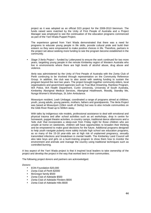project as it was adopted as an official D23 project for the 2008-2010 biennium. The funds raised were matched by the Unity of First People of Australia and a Project Manager was employed to see the continuation of the education programs commenced as part of the Yarri Wada Puppet Project.

The experience gained from Yarri Wada demonstrated that there was a need for programs to educate young people in life skills, provide cultural pride and build their esteem so they were empowered to make positive choices in life. Therefore, partners in the project set about seeking more funding to see the program become established in the community.

Stage 3 Ilerla Project – funded by Lotterywest to ensure the work continued for two more years, targetting young people in the remote Kimberley region of Western Australia who live in environments where there are high levels of alcohol abuse, drug abuse and violence.

Ilerla was administered by the Unity of First People of Australia with the Zonta Club of Perth continuing to be involved through representation on the Community Reference Group. In addition, the club was to also assist with seeking funding to sustain the program beyond the next two years. The project brought together community elders, local organisations and government agencies such as True Blue Dreaming, Rainbow Program, WA Police, WA Health Department, Curtin University, University of South Australia, Kimberley Aboriginal Medical Services, Aboriginal Healthwork, Mooditj, Standby Me, Nunga Women's Workshops, St John Ambulance.

Mowunjum resident, Leah Umbagai, coordinated a range of programs aimed at children, youth, young adults, young parents, mothers, fathers and grandparents. The Ilerla Project was based at Mowunjum (10km south of Derby) but was to also include communities on the Gibb River Road up to 500km away.

With talks by indigenous role models, professional assistance to deal with emotional and physical trauma and after school activities such as art workshops, drop in centre for homework, puppet theatre activities, in-country camps, traditional dance afternoons and a 'kids club' that incorporates a sleep-over from Friday night for those children who are unsafe at home on weekends, children will have opportunities to broaden their thinking and be empowered to make good decisions for the future. Additional programs designed to help youth navigate puberty more safely include high school sex education programs, as so many of the 15-18 year-olds are at high risk of unplanned pregnancy, sexually transmitted infections and breakdown in mental health. The Kimberley Land Council will also take boys and girls on a bush-training program to show them how to monitor the environment and animals and manage the country using traditional techniques such as controlled burning.

A key aspect of the Yarri Wada project is that it inspired local leaders to take ownership of the project and develop the project in the way that worked best in their communities.

The following project donors and partners are acknowledged.

Donors:

- EON Foundation \$20,000
- Zonta Club of Perth \$2000
- McGregor family \$500
- Zonta Club of Adelaide \$500
- Zonta Club of Adelaide Flinders \$500
- Zonta Club of Adelaide Hills \$500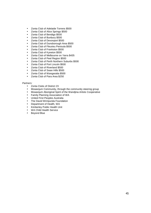- Zonta Club of Adelaide Torrens \$500
- Zonta Club of Alice Springs \$500
- Zonta Club of Bendigo \$500
- Zonta Club of Bunbury \$500
- Zonta Club of Devonport \$500
- Zonta Club of Dunsborough Area \$500
- Zonta Club of Fleurieu Penisula \$500<br>• Zonta Club of Frankston \$500
- Zonta Club of Frankston \$500
- Zonta Club of Kyneton \$500
- Zonta Club of Melbourne on Yarra \$435
- Zonta Club of Peel Region \$500
- Zonta Club of Perth Northern Suburbs \$500
- Zonta Club of Port Lincoln \$500
- Zonta Club of Riverland \$500
- Zonta Club of Swan Hills \$500
- Zonta Club of Wangaratta \$500
- Zonta Club of Para Area \$250

#### Partners:

- Zonta Clubs of District 23
- Mowanjum Community, through the community steering group<br>• Mowanjum Aboriginal Spirit of the Wandiina Artists Cooperative
- Mowanjum Aboriginal Spirit of the Wandjina Artists Cooperative
- Family Planning Association of WA
- United First Peoples Australia
- The David Wirripunda Foundation
- Department of Health, WA
- Kimberley Public Health Unit
- WA Child Health Service
- Beyond Blue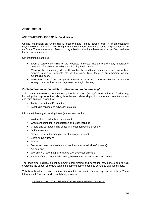## **Attachment 5**

### **ANNOTATED BIBLIOGRAPHY: Fundraising**

On-line information on fundraising is extensive and ranges across larger n-f-p organisations relying solely or wholly on fund-raising through to voluntary community service organisations such as Zonta. There is also a proliferation of organisations that have been set up as professional feefor-service fundraisers.

Several things stand out:

- Even a cursory scanning of the websites indicates that there are many fundraisers competing for what is probably a diminishing fund source.
- Many of the fundraising ideas still involve the traditional fundraisers such as raffles, dinners, auctions, bequests etc. At the same time, there is an emerging on-line fundraising push.
- While most sites focus on specific fundraising activities, some are directed at a more strategic level and focus on longer-term strategic planning.

## **Zonta International Foundation. Introduction to Fundraising<sup>7</sup>**

This Zonta International Foundation guide is a short (1-page) introduction to fundraising, indicating the purpose of fundraising is to develop relationships with donors and potential donors and raise financial support for:

- Zonta International Foundation
- Local club service and advocacy projects

It lists the following fundraising Ideas (without elaboration):

- Walk-a-thon, bowl-a-thon, dance contest
- Group shopping trip, transportation and lunch included
- Create and sell advertising space in a local networking directory
- Golf tournament
- Special dinners (themed parties, champagne brunch)
- Silent or live auctions
- Raffles
- Dinner and event (comedy show, fashion show, musical performance)
- Art auctions
- Working with sporting/performance event concession stand
- Parade of cars tour local scenery, have entries for decorated car contest.

The page also includes a brief comment about finding and benefiting new donors and to help overcome the aspect of always asking the same group of people to donate to club fundraisers.

This is only what it claims in the title (an introduction to fundraising) but as it is a Zonta International Foundation site, worth being aware of.

 $\frac{1}{7}$ 

http://www.zonta.org/LinkClick.aspx?fileticket=wXvBoIlsh5E%3D&tabid=86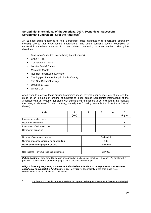## **Soroptimist International of the Americas, 2007. Event Ideas: Successful Soroptimist Fundraisers. SI of the Americas<sup>8</sup>**

An 11-page guide "designed to help Soroptimist clubs maximize their fundraising efforts by creating events that leave lasting impressions. The guide contains several examples of successful fundraisers selected from Soroptimist Celebrating Success entries". The guide describes:

- Bras for a Cause (the cause being breast cancer)
- Chair-A-Tea
- Concert for a Cause
- Lobster Fest & Dance
- Margarita Mixoff
- Red Hat Fundraising Luncheon
- The Biggest Pajama Party in Bucks County
- The One Dollar Challenge
- Used Book Sale
- Winter Golf

Apart from its practical focus around fundraising ideas, several other aspects are of interest: the guide as an example of sharing of fundraising ideas across Soroptimist International of the Americas with an invitation for clubs with outstanding fundraisers to be included in the manual; the rating scale used for each activity, namely the following example for 'Bras for a Cause' (below).

| <b>Scale</b>                 |       |  |        |
|------------------------------|-------|--|--------|
|                              | (low) |  | (high) |
| Investment of club money     |       |  |        |
| Return on investment         |       |  |        |
| Investment of volunteer time |       |  |        |
| Community exposure           |       |  |        |

| Number of volunteers needed                 | Entire club |
|---------------------------------------------|-------------|
| Number of people participating or attending | 100         |
| How many months preparation time            | 6 months    |
|                                             |             |
| Nett Income (Revenue less club expenses)    | \$27,000    |

**Public Relations:** Bras for a Cause was announced at a city council meeting in October. An article with a photo of a decorated bra graced the pages of the club's local newspaper.

**Did you have any corporate, business, or individual contributions of money, products or services specifically to support this fundraiser? If so: How many?** The majority of the bras made were contributions from individuals and businesses.

 $\frac{1}{8}$ 

http://www.soroptimist.org/members/fundraising/FundraisingDocs/GeneralInfo/EventIdeasFinal.pdf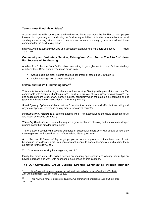## **Tennis West Fundraising Ideas<sup>9</sup>**

A basic local site with some good tried-and-trusted ideas that would be familiar to most people involved in organising or contributing to fundraising activities. It is also a reminder that local sporting clubs, along with schools, churches and other community groups are all out there competing for the fundraising dollar

http://www.tennis.com.au/wa/clubs-and-associations/grants-funding/fundraising-ideas cited 30.11.2011

## **Community and Voluntary Service, Raising Your Own Funds The A to Z of Ideas For Successful Fundraising**

Another A to Z. this one from Bedfordshire, interesting to get a glimpse into how it's done similarly or differently in Great Britain. The ideas range from:

- Abseil scale the dizzy heights of a local landmark or office block, through to
- **Z**odiac evening with a guest astrologer

## **Oxfam Australia's Fundraising Ideas<sup>10</sup>**

This site is like a brainstorming of ideas about fundraising. Starting with general tips such as: 'Be comfortable with asking and getting a "no" – don't let it put you off your fundraising campaign! The site suggests there is never any harm in asking, especially when the cause is a charitable one. It goes through a range of categories of fundraising, namely:

**Small Speedy Spinners** ("ideas that don't require too much time and effort but are still good ways to get people involved in raising money for a great cause!")

**Medium Money Makers** (e.g. custom labelled wine – "an alternative to the usual chocolate drive and is just as easy to organise")

**Think Big Bucks** ('larger events that require a great deal more planning and in most cases larger running costs than smaller fundraisers')

There is also a section with specific examples of successful fundraisers with details of how they were organised and costed. An A-Z of fundraising ideas goes from

**A** … "Auction off Promises! Try to get people to donate a promise of their time, use of their belongings, or to donate a gift. You can even ask people to donate themselves and auction them as 'slaves for the day"… to …

**Z** … "Your own fundraising idea beginning with Z!"

1

Finally the article concludes with a section on securing sponsorship and offering useful tips on how to approach and work with sponsoring businesses or organisations.

## **The Our Community Group Building Stronger Communities through stronger**

<sup>10</sup> http://www.oxfam.org.au/site-media/pdf/OAus-CommunityFundraisingPack-0708.pdf cited 30.11.2011

<sup>9</sup> http://www.voluntaryworks.org.uk/cvsmidandnorthbeds/documents/FundraisingToolkitA-ZofFundraisingIdeas\_000.pdf cited 1.12.2011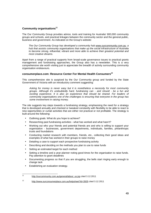### **Community organisations<sup>11</sup>**

The Our Community Group provides advice, tools and training for Australia' 600,000 community groups and schools, and practical linkages between the community sector and the general public, business and government. As indicated on the Group's website:

The Our Community Group has developed a community hub www.ourcommunity.com.au, a hub that assists community organisations that make up the social infrastructure of Australia to become strong, influential, vibrant and more able to achieve their greatest potential and most creative dreams.

Apart from a range of practical supports from broad-scale governance issues to practical grants management and fundraising approaches, the Group also has a newsletter. This is a very comprehensive site worth visiting just to appreciate the breadth of activity surrounding community organisation endeavours.

## **consumerplace.com: Resource Center For Mental Health Consumers<sup>12</sup>**

This comprehensive site is auspiced by the Our Community group and funded by the State Government of Victoria with an introductory comment suggesting:

Asking for money is never easy but it is nonetheless a necessity for most community groups. Although it's undoubtedly hard, fundraising can - and should - be a fun and exciting experience. It is also an experience that should be shared. For leaders of community organisations one of the challenges is ensuring that everyone in the group has some involvement in raising money.

The site suggests key steps towards a fundraising strategy, emphasising the need for a strategy that is developed annually and checked or tweaked constantly with flexibility to be able to react to new opportunities or curtail activities that are either not practical or not profitable. The strategy is built around the following:

- Outlining goals. What do you hope to achieve?
- Researching past fundraising activities what has worked and what hasn't?
- Working out who your friends and potential friends are and who is willing to support your organisation - businesses, government departments, individuals, families, philanthropic trusts and foundations
- Conducting market research with members, friends, etc., collecting their good ideas and examples of what has worked in their groups to raise money
- Detailing a case to support each prospective fundraising activity
- Describing and deciding on the methods you plan to use to raise funds
- Setting an estimated target for each method
- Setting a timeline and a year planner noting good times for the organisation to raise funds. Pay attention to grant deadlines
- Documenting progress so that if you are struggling, the bells start ringing early enough to change tack
- Establishing an evaluation strategy.

 $11$ http://ourcommunity.com.au/general/about\_us.jsp cited 3.12.2011

<sup>12</sup> http://www.ourconsumerplace.com.au/helpsheet?id=3505 cited 3.12.2011